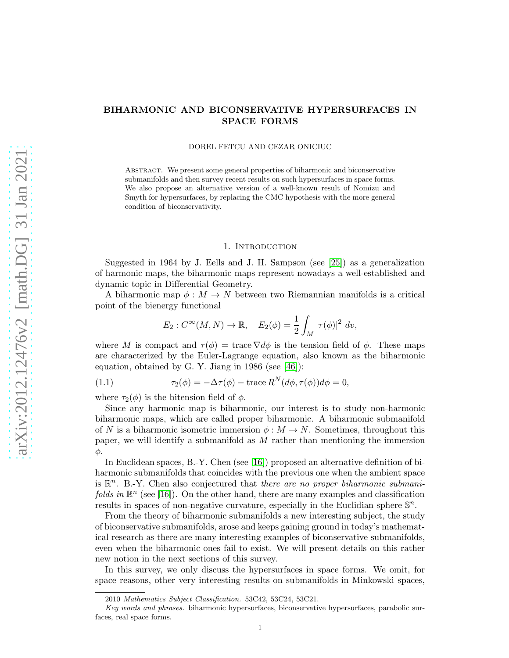# BIHARMONIC AND BICONSERVATIVE HYPERSURFACES IN SPACE FORMS

#### DOREL FETCU AND CEZAR ONICIUC

Abstract. We present some general properties of biharmonic and biconservative submanifolds and then survey recent results on such hypersurfaces in space forms. We also propose an alternative version of a well-known result of Nomizu and Smyth for hypersurfaces, by replacing the CMC hypothesis with the more general condition of biconservativity.

## 1. INTRODUCTION

Suggested in 1964 by J. Eells and J. H. Sampson (see [\[25\]](#page-21-0)) as a generalization of harmonic maps, the biharmonic maps represent nowadays a well-established and dynamic topic in Differential Geometry.

A biharmonic map  $\phi : M \to N$  between two Riemannian manifolds is a critical point of the bienergy functional

<span id="page-0-0"></span>
$$
E_2: C^{\infty}(M, N) \to \mathbb{R}, \quad E_2(\phi) = \frac{1}{2} \int_M |\tau(\phi)|^2 dv,
$$

where M is compact and  $\tau(\phi) = \text{trace } \nabla d\phi$  is the tension field of  $\phi$ . These maps are characterized by the Euler-Lagrange equation, also known as the biharmonic equation, obtained by G. Y. Jiang in 1986 (see [\[46\]](#page-22-0)):

(1.1) 
$$
\tau_2(\phi) = -\Delta \tau(\phi) - \text{trace } R^N(d\phi, \tau(\phi))d\phi = 0,
$$

where  $\tau_2(\phi)$  is the bitension field of  $\phi$ .

Since any harmonic map is biharmonic, our interest is to study non-harmonic biharmonic maps, which are called proper biharmonic. A biharmonic submanifold of N is a biharmonic isometric immersion  $\phi : M \to N$ . Sometimes, throughout this paper, we will identify a submanifold as  $M$  rather than mentioning the immersion φ.

In Euclidean spaces, B.-Y. Chen (see [\[16\]](#page-21-1)) proposed an alternative definition of biharmonic submanifolds that coincides with the previous one when the ambient space is  $\mathbb{R}^n$ . B.-Y. Chen also conjectured that there are no proper biharmonic submanifolds in  $\mathbb{R}^n$  (see [\[16\]](#page-21-1)). On the other hand, there are many examples and classification results in spaces of non-negative curvature, especially in the Euclidian sphere  $\mathbb{S}^n$ .

From the theory of biharmonic submanifolds a new interesting subject, the study of biconservative submanifolds, arose and keeps gaining ground in today's mathematical research as there are many interesting examples of biconservative submanifolds, even when the biharmonic ones fail to exist. We will present details on this rather new notion in the next sections of this survey.

In this survey, we only discuss the hypersurfaces in space forms. We omit, for space reasons, other very interesting results on submanifolds in Minkowski spaces,

<sup>2010</sup> Mathematics Subject Classification. 53C42, 53C24, 53C21.

Key words and phrases. biharmonic hypersurfaces, biconservative hypersurfaces, parabolic surfaces, real space forms.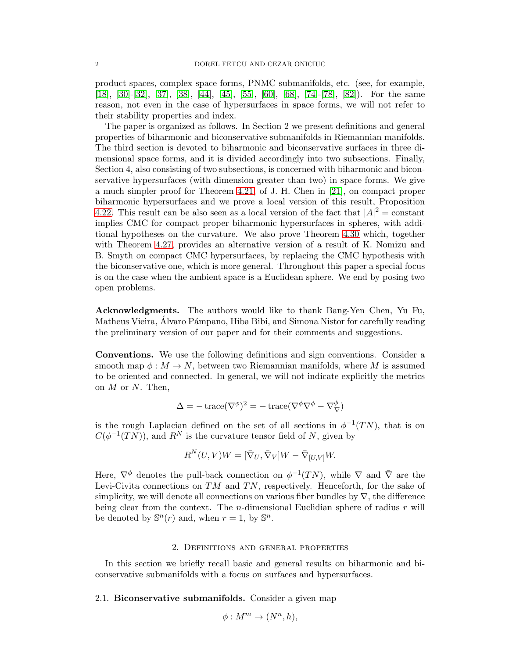product spaces, complex space forms, PNMC submanifolds, etc. (see, for example, [\[18\]](#page-21-2), [\[30\]](#page-21-3)-[\[32\]](#page-21-4), [\[37\]](#page-21-5), [\[38\]](#page-21-6), [\[44\]](#page-22-1), [\[45\]](#page-22-2), [\[55\]](#page-22-3), [\[60\]](#page-22-4), [\[68\]](#page-22-5), [\[74\]](#page-22-6)-[\[78\]](#page-23-0), [\[82\]](#page-23-1)). For the same reason, not even in the case of hypersurfaces in space forms, we will not refer to their stability properties and index.

The paper is organized as follows. In Section 2 we present definitions and general properties of biharmonic and biconservative submanifolds in Riemannian manifolds. The third section is devoted to biharmonic and biconservative surfaces in three dimensional space forms, and it is divided accordingly into two subsections. Finally, Section 4, also consisting of two subsections, is concerned with biharmonic and biconservative hypersurfaces (with dimension greater than two) in space forms. We give a much simpler proof for Theorem [4.21,](#page-16-0) of J. H. Chen in [\[21\]](#page-21-7), on compact proper biharmonic hypersurfaces and we prove a local version of this result, Proposition [4.22.](#page-17-0) This result can be also seen as a local version of the fact that  $|A|^2 = \text{constant}$ implies CMC for compact proper biharmonic hypersurfaces in spheres, with additional hypotheses on the curvature. We also prove Theorem [4.30](#page-19-0) which, together with Theorem [4.27,](#page-18-0) provides an alternative version of a result of K. Nomizu and B. Smyth on compact CMC hypersurfaces, by replacing the CMC hypothesis with the biconservative one, which is more general. Throughout this paper a special focus is on the case when the ambient space is a Euclidean sphere. We end by posing two open problems.

Acknowledgments. The authors would like to thank Bang-Yen Chen, Yu Fu, Matheus Vieira, Alvaro Pámpano, Hiba Bibi, and Simona Nistor for carefully reading the preliminary version of our paper and for their comments and suggestions.

Conventions. We use the following definitions and sign conventions. Consider a smooth map  $\phi : M \to N$ , between two Riemannian manifolds, where M is assumed to be oriented and connected. In general, we will not indicate explicitly the metrics on  $M$  or  $N$ . Then,

$$
\Delta=-\operatorname{trace}(\nabla^\phi)^2=-\operatorname{trace}(\nabla^\phi\nabla^\phi-\nabla_\nabla^\phi)
$$

is the rough Laplacian defined on the set of all sections in  $\phi^{-1}(TN)$ , that is on  $C(\phi^{-1}(TN)$ , and  $R^N$  is the curvature tensor field of N, given by

$$
R^{N}(U,V)W = [\bar{\nabla}_{U}, \bar{\nabla}_{V}]W - \bar{\nabla}_{[U,V]}W.
$$

Here,  $\nabla^{\phi}$  denotes the pull-back connection on  $\phi^{-1}(TN)$ , while  $\nabla$  and  $\overline{\nabla}$  are the Levi-Civita connections on  $TM$  and  $TN$ , respectively. Henceforth, for the sake of simplicity, we will denote all connections on various fiber bundles by  $\nabla$ , the difference being clear from the context. The *n*-dimensional Euclidian sphere of radius  $r$  will be denoted by  $\mathbb{S}^n(r)$  and, when  $r=1$ , by  $\mathbb{S}^n$ .

#### 2. Definitions and general properties

In this section we briefly recall basic and general results on biharmonic and biconservative submanifolds with a focus on surfaces and hypersurfaces.

2.1. Biconservative submanifolds. Consider a given map

$$
\phi: M^m \to (N^n, h),
$$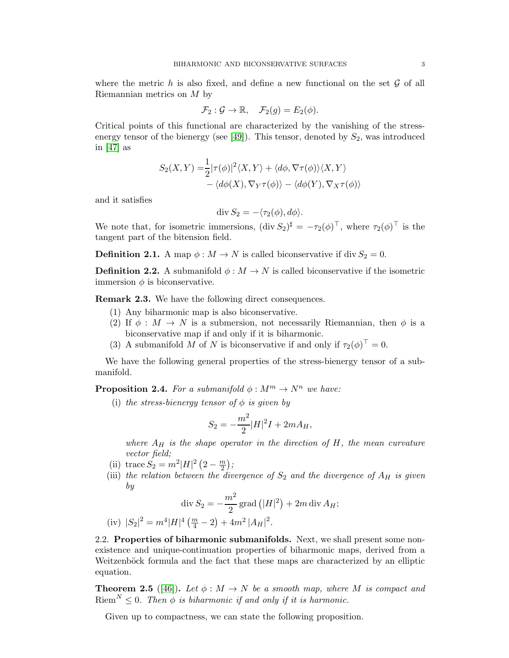where the metric h is also fixed, and define a new functional on the set  $\mathcal G$  of all Riemannian metrics on M by

$$
\mathcal{F}_2: \mathcal{G} \to \mathbb{R}, \quad \mathcal{F}_2(g) = E_2(\phi).
$$

Critical points of this functional are characterized by the vanishing of the stress-energy tensor of the bienergy (see [\[49\]](#page-22-7)). This tensor, denoted by  $S_2$ , was introduced in [\[47\]](#page-22-8) as

$$
S_2(X,Y) = \frac{1}{2} |\tau(\phi)|^2 \langle X, Y \rangle + \langle d\phi, \nabla \tau(\phi) \rangle \langle X, Y \rangle - \langle d\phi(X), \nabla_Y \tau(\phi) \rangle - \langle d\phi(Y), \nabla_X \tau(\phi) \rangle
$$

and it satisfies

$$
\operatorname{div} S_2 = -\langle \tau_2(\phi), d\phi \rangle.
$$

We note that, for isometric immersions,  $(\text{div } S_2)^{\sharp} = -\tau_2(\phi)^{\top}$ , where  $\tau_2(\phi)^{\top}$  is the tangent part of the bitension field.

**Definition 2.1.** A map  $\phi : M \to N$  is called biconservative if div  $S_2 = 0$ .

**Definition 2.2.** A submanifold  $\phi : M \to N$  is called biconservative if the isometric immersion  $\phi$  is biconservative.

Remark 2.3. We have the following direct consequences.

- (1) Any biharmonic map is also biconservative.
- (2) If  $\phi : M \to N$  is a submersion, not necessarily Riemannian, then  $\phi$  is a biconservative map if and only if it is biharmonic.
- (3) A submanifold M of N is biconservative if and only if  $\tau_2(\phi)^\top = 0$ .

We have the following general properties of the stress-bienergy tensor of a submanifold.

**Proposition 2.4.** For a submanifold  $\phi : M^m \to N^n$  we have:

(i) the stress-bienergy tensor of  $\phi$  is given by

$$
S_2 = -\frac{m^2}{2}|H|^2I + 2mA_H,
$$

where  $A_H$  is the shape operator in the direction of H, the mean curvature vector field;

- (ii) trace  $S_2 = m^2|H|^2(2 \frac{m}{2});$
- (iii) the relation between the divergence of  $S_2$  and the divergence of  $A_H$  is given by

$$
\operatorname{div} S_2 = -\frac{m^2}{2} \operatorname{grad} (|H|^2) + 2m \operatorname{div} A_H;
$$
  
(iv)  $|S_2|^2 = m^4 |H|^4 \left(\frac{m}{4} - 2\right) + 4m^2 |A_H|^2.$ 

2.2. Properties of biharmonic submanifolds. Next, we shall present some nonexistence and unique-continuation properties of biharmonic maps, derived from a Weitzenböck formula and the fact that these maps are characterized by an elliptic equation.

**Theorem 2.5** ([\[46\]](#page-22-0)). Let  $\phi : M \to N$  be a smooth map, where M is compact and  $\text{Riem}^N \leq 0$ . Then  $\phi$  is biharmonic if and only if it is harmonic.

Given up to compactness, we can state the following proposition.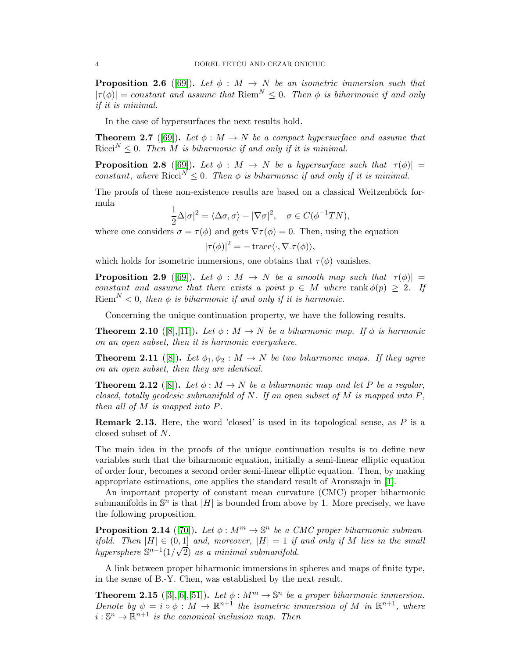**Proposition 2.6** ([\[69\]](#page-22-9)). Let  $\phi : M \to N$  be an isometric immersion such that  $|\tau(\phi)| = constant$  and assume that  $\text{Riem}^N \leq 0$ . Then  $\phi$  is biharmonic if and only if it is minimal.

In the case of hypersurfaces the next results hold.

<span id="page-3-0"></span>**Theorem 2.7** ([\[69\]](#page-22-9)). Let  $\phi : M \to N$  be a compact hypersurface and assume that Ricci<sup>N</sup>  $\leq$  0. Then M is biharmonic if and only if it is minimal.

<span id="page-3-1"></span>**Proposition 2.8** ([\[69\]](#page-22-9)). Let  $\phi$  : M  $\rightarrow$  N be a hypersurface such that  $|\tau(\phi)| =$ constant, where Ricci<sup>N</sup>  $\leq$  0. Then  $\phi$  is biharmonic if and only if it is minimal.

The proofs of these non-existence results are based on a classical Weitzenböck formula

$$
\frac{1}{2}\Delta|\sigma|^2 = \langle \Delta \sigma, \sigma \rangle - |\nabla \sigma|^2, \quad \sigma \in C(\phi^{-1}TN),
$$

where one considers  $\sigma = \tau(\phi)$  and gets  $\nabla \tau(\phi) = 0$ . Then, using the equation

$$
|\tau(\phi)|^2 = -\operatorname{trace}\langle \cdot, \nabla.\tau(\phi) \rangle,
$$

which holds for isometric immersions, one obtains that  $\tau(\phi)$  vanishes.

**Proposition 2.9** ([\[69\]](#page-22-9)). Let  $\phi : M \to N$  be a smooth map such that  $|\tau(\phi)| =$ constant and assume that there exists a point  $p \in M$  where rank  $\phi(p) \geq 2$ . If Riem<sup>N</sup> < 0, then  $\phi$  is biharmonic if and only if it is harmonic.

Concerning the unique continuation property, we have the following results.

**Theorem 2.10** ([\[8\]](#page-20-0),[\[11\]](#page-20-1)). Let  $\phi : M \to N$  be a biharmonic map. If  $\phi$  is harmonic on an open subset, then it is harmonic everywhere.

**Theorem 2.11** ([\[8\]](#page-20-0)). Let  $\phi_1, \phi_2 : M \to N$  be two biharmonic maps. If they agree on an open subset, then they are identical.

**Theorem 2.12** ([\[8\]](#page-20-0)). Let  $\phi : M \to N$  be a biharmonic map and let P be a regular, closed, totally geodesic submanifold of N. If an open subset of M is mapped into  $P$ , then all of M is mapped into P.

**Remark 2.13.** Here, the word 'closed' is used in its topological sense, as  $P$  is a closed subset of N.

The main idea in the proofs of the unique continuation results is to define new variables such that the biharmonic equation, initially a semi-linear elliptic equation of order four, becomes a second order semi-linear elliptic equation. Then, by making appropriate estimations, one applies the standard result of Aronszajn in [\[1\]](#page-20-2).

An important property of constant mean curvature (CMC) proper biharmonic submanifolds in  $\mathbb{S}^n$  is that |H| is bounded from above by 1. More precisely, we have the following proposition.

**Proposition 2.14** ([\[70\]](#page-22-10)). Let  $\phi : M^m \to \mathbb{S}^n$  be a CMC proper biharmonic submanifold. Then  $|H| \in (0,1]$  and, moreover,  $|H| = 1$  if and only if M lies in the small hypersphere  $S^{n-1}(1/\sqrt{2})$  as a minimal submanifold.

A link between proper biharmonic immersions in spheres and maps of finite type, in the sense of B.-Y. Chen, was established by the next result.

**Theorem 2.15** ([\[3\]](#page-20-3),[\[6\]](#page-20-4),[\[51\]](#page-22-11)). Let  $\phi : M^m \to \mathbb{S}^n$  be a proper biharmonic immersion. Denote by  $\psi = i \circ \phi : M \to \mathbb{R}^{n+1}$  the isometric immersion of M in  $\mathbb{R}^{n+1}$ , where  $i: \mathbb{S}^n \to \mathbb{R}^{n+1}$  is the canonical inclusion map. Then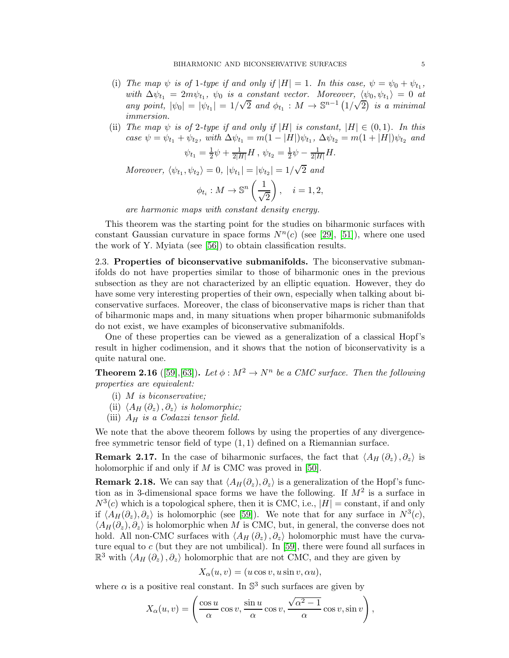- (i) The map  $\psi$  is of 1-type if and only if  $|H| = 1$ . In this case,  $\psi = \psi_0 + \psi_{t_1}$ , with  $\Delta \psi_{t_1} = 2m\psi_{t_1}$ ,  $\psi_0$  is a constant vector. Moreover,  $\langle \psi_0, \psi_{t_1} \rangle = 0$  at any point,  $|\psi_0| = |\psi_{t_1}| = 1/\sqrt{2}$  and  $\phi_{t_1} : M \to \mathbb{S}^{n-1} (1/\sqrt{2})$  is a minimal immersion.
- (ii) The map  $\psi$  is of 2-type if and only if |H| is constant,  $|H| \in (0,1)$ . In this case  $\psi = \psi_{t_1} + \psi_{t_2}$ , with  $\Delta \psi_{t_1} = m(1 - |H|) \psi_{t_1}$ ,  $\Delta \psi_{t_2} = m(1 + |H|) \psi_{t_2}$  and

$$
\psi_{t_1} = \frac{1}{2}\psi + \frac{1}{2|H|}H, \ \psi_{t_2} = \frac{1}{2}\psi - \frac{1}{2|H|}H.
$$

Moreover,  $\langle \psi_{t_1}, \psi_{t_2} \rangle = 0$ ,  $|\psi_{t_1}| = |\psi_{t_2}| = 1/\sqrt{2}$  and

$$
\phi_{t_i}: M \to \mathbb{S}^n\left(\frac{1}{\sqrt{2}}\right), \quad i = 1, 2,
$$

are harmonic maps with constant density energy.

This theorem was the starting point for the studies on biharmonic surfaces with constant Gaussian curvature in space forms  $N^n(c)$  (see [\[29\]](#page-21-8), [\[51\]](#page-22-11)), where one used the work of Y. Myiata (see [\[56\]](#page-22-12)) to obtain classification results.

2.3. Properties of biconservative submanifolds. The biconservative submanifolds do not have properties similar to those of biharmonic ones in the previous subsection as they are not characterized by an elliptic equation. However, they do have some very interesting properties of their own, especially when talking about biconservative surfaces. Moreover, the class of biconservative maps is richer than that of biharmonic maps and, in many situations when proper biharmonic submanifolds do not exist, we have examples of biconservative submanifolds.

One of these properties can be viewed as a generalization of a classical Hopf's result in higher codimension, and it shows that the notion of biconservativity is a quite natural one.

<span id="page-4-0"></span>**Theorem 2.16** ([\[59\]](#page-22-13), [\[63\]](#page-22-14)). Let  $\phi : M^2 \to N^n$  be a CMC surface. Then the following properties are equivalent:

- (i) M is biconservative;
- (ii)  $\langle A_H (\partial_z), \partial_z \rangle$  is holomorphic;
- (iii)  $A_H$  is a Codazzi tensor field.

We note that the above theorem follows by using the properties of any divergencefree symmetric tensor field of type (1, 1) defined on a Riemannian surface.

**Remark 2.17.** In the case of biharmonic surfaces, the fact that  $\langle A_H (\partial_z), \partial_z \rangle$  is holomorphic if and only if  $M$  is CMC was proved in [\[50\]](#page-22-15).

**Remark 2.18.** We can say that  $\langle A_H(\partial_z), \partial_z \rangle$  is a generalization of the Hopf's function as in 3-dimensional space forms we have the following. If  $M^2$  is a surface in  $N^3(c)$  which is a topological sphere, then it is CMC, i.e.,  $|H| = \text{constant}$ , if and only if  $\langle A_H(\partial_z), \partial_z \rangle$  is holomorphic (see [\[59\]](#page-22-13)). We note that for any surface in  $N^3(c)$ ,  $\langle A_H(\partial_z), \partial_z \rangle$  is holomorphic when M is CMC, but, in general, the converse does not hold. All non-CMC surfaces with  $\langle A_H (\partial_z), \partial_z \rangle$  holomorphic must have the curvature equal to  $c$  (but they are not umbilical). In [\[59\]](#page-22-13), there were found all surfaces in  $\mathbb{R}^3$  with  $\langle A_H (\partial_z), \partial_z \rangle$  holomorphic that are not CMC, and they are given by

$$
X_{\alpha}(u,v) = (u\cos v, u\sin v, \alpha u),
$$

where  $\alpha$  is a positive real constant. In  $\mathbb{S}^3$  such surfaces are given by

$$
X_{\alpha}(u,v) = \left(\frac{\cos u}{\alpha}\cos v, \frac{\sin u}{\alpha}\cos v, \frac{\sqrt{\alpha^2-1}}{\alpha}\cos v, \sin v\right),\,
$$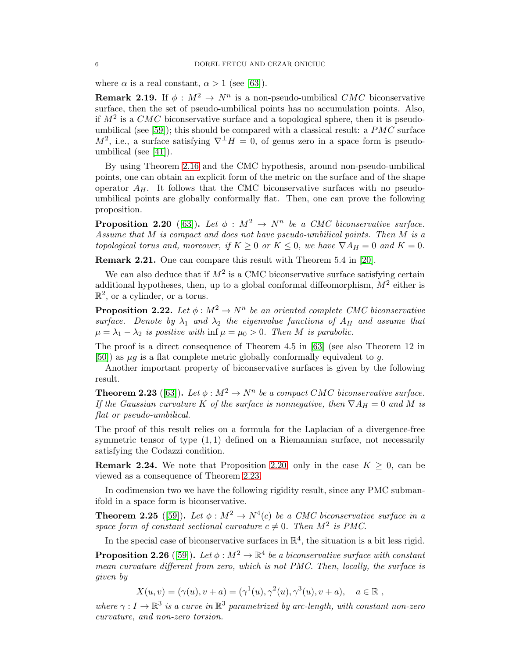where  $\alpha$  is a real constant,  $\alpha > 1$  (see [\[63\]](#page-22-14)).

**Remark 2.19.** If  $\phi: M^2 \to N^n$  is a non-pseudo-umbilical CMC biconservative surface, then the set of pseudo-umbilical points has no accumulation points. Also, if  $M^2$  is a CMC biconservative surface and a topological sphere, then it is pseudo-umbilical (see [\[59\]](#page-22-13)); this should be compared with a classical result: a  $PMC$  surface  $M^2$ , i.e., a surface satisfying  $\nabla^{\perp}H = 0$ , of genus zero in a space form is pseudoumbilical (see [\[41\]](#page-21-9)).

By using Theorem [2.16](#page-4-0) and the CMC hypothesis, around non-pseudo-umbilical points, one can obtain an explicit form of the metric on the surface and of the shape operator  $A_H$ . It follows that the CMC biconservative surfaces with no pseudoumbilical points are globally conformally flat. Then, one can prove the following proposition.

<span id="page-5-0"></span>**Proposition 2.20** ([\[63\]](#page-22-14)). Let  $\phi : M^2 \to N^n$  be a CMC biconservative surface. Assume that M is compact and does not have pseudo-umbilical points. Then M is a topological torus and, moreover, if  $K \geq 0$  or  $K \leq 0$ , we have  $\nabla A_H = 0$  and  $K = 0$ .

Remark 2.21. One can compare this result with Theorem 5.4 in [\[20\]](#page-21-10).

We can also deduce that if  $M^2$  is a CMC biconservative surface satisfying certain additional hypotheses, then, up to a global conformal diffeomorphism,  $M^2$  either is  $\mathbb{R}^2$ , or a cylinder, or a torus.

**Proposition 2.22.** Let  $\phi : M^2 \to N^n$  be an oriented complete CMC biconservative surface. Denote by  $\lambda_1$  and  $\lambda_2$  the eigenvalue functions of  $A_H$  and assume that  $\mu = \lambda_1 - \lambda_2$  is positive with  $\inf \mu = \mu_0 > 0$ . Then M is parabolic.

The proof is a direct consequence of Theorem 4.5 in [\[63\]](#page-22-14) (see also Theorem 12 in [\[50\]](#page-22-15)) as  $\mu q$  is a flat complete metric globally conformally equivalent to q.

Another important property of biconservative surfaces is given by the following result.

<span id="page-5-1"></span>**Theorem 2.23** ([\[63\]](#page-22-14)). Let  $\phi : M^2 \to N^n$  be a compact CMC biconservative surface. If the Gaussian curvature K of the surface is nonnegative, then  $\nabla A_H = 0$  and M is flat or pseudo-umbilical.

The proof of this result relies on a formula for the Laplacian of a divergence-free symmetric tensor of type  $(1, 1)$  defined on a Riemannian surface, not necessarily satisfying the Codazzi condition.

**Remark 2.24.** We note that Proposition [2.20,](#page-5-0) only in the case  $K \geq 0$ , can be viewed as a consequence of Theorem [2.23.](#page-5-1)

In codimension two we have the following rigidity result, since any PMC submanifold in a space form is biconservative.

**Theorem 2.25** ([\[59\]](#page-22-13)). Let  $\phi : M^2 \to N^4(c)$  be a CMC biconservative surface in a space form of constant sectional curvature  $c \neq 0$ . Then  $M^2$  is PMC.

In the special case of biconservative surfaces in  $\mathbb{R}^4$ , the situation is a bit less rigid.

**Proposition 2.26** ([\[59\]](#page-22-13)). Let  $\phi : M^2 \to \mathbb{R}^4$  be a biconservative surface with constant mean curvature different from zero, which is not PMC. Then, locally, the surface is given by

 $X(u, v) = (\gamma(u), v + a) = (\gamma^{1}(u), \gamma^{2}(u), \gamma^{3}(u), v + a), \quad a \in \mathbb{R}$ ,

where  $\gamma: I \to \mathbb{R}^3$  is a curve in  $\mathbb{R}^3$  parametrized by arc-length, with constant non-zero curvature, and non-zero torsion.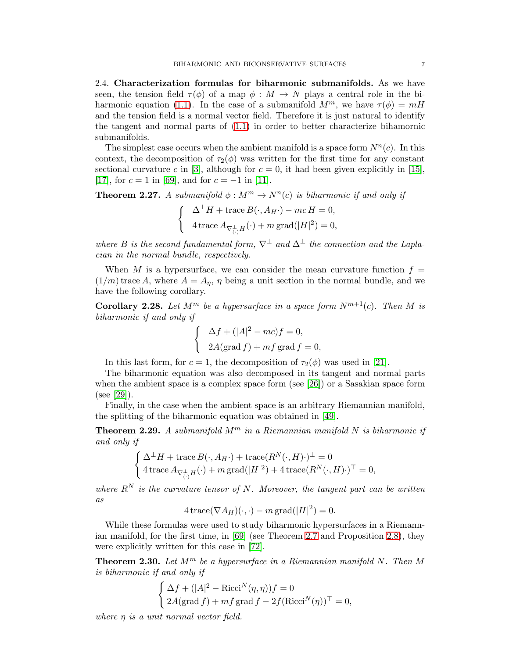2.4. Characterization formulas for biharmonic submanifolds. As we have seen, the tension field  $\tau(\phi)$  of a map  $\phi : M \to N$  plays a central role in the bi-harmonic equation [\(1.1\)](#page-0-0). In the case of a submanifold  $M^m$ , we have  $\tau(\phi) = mH$ and the tension field is a normal vector field. Therefore it is just natural to identify the tangent and normal parts of [\(1.1\)](#page-0-0) in order to better characterize bihamornic submanifolds.

The simplest case occurs when the ambient manifold is a space form  $N^n(c)$ . In this context, the decomposition of  $\tau_2(\phi)$  was written for the first time for any constant sectional curvature c in [\[3\]](#page-20-3), although for  $c = 0$ , it had been given explicitly in [\[15\]](#page-21-11), [\[17\]](#page-21-12), for  $c = 1$  in [\[69\]](#page-22-9), and for  $c = -1$  in [\[11\]](#page-20-1).

**Theorem 2.27.** A submanifold  $\phi : M^m \to N^n(c)$  is biharmonic if and only if

$$
\begin{cases}\n\Delta^{\perp}H + \text{trace } B(\cdot, A_{H}\cdot) - mc H = 0, \\
4 \text{trace } A_{\nabla_{(\cdot)}^{\perp}H}(\cdot) + m \text{grad}(|H|^{2}) = 0,\n\end{cases}
$$

where B is the second fundamental form,  $\nabla^{\perp}$  and  $\Delta^{\perp}$  the connection and the Laplacian in the normal bundle, respectively.

When M is a hypersurface, we can consider the mean curvature function  $f =$  $(1/m)$  trace A, where  $A = A_n$ ,  $\eta$  being a unit section in the normal bundle, and we have the following corollary.

**Corollary 2.28.** Let  $M^m$  be a hypersurface in a space form  $N^{m+1}(c)$ . Then M is biharmonic if and only if

$$
\begin{cases}\n\Delta f + (|A|^2 - mc)f = 0, \\
2A(\text{grad } f) + mf \text{grad } f = 0,\n\end{cases}
$$

In this last form, for  $c = 1$ , the decomposition of  $\tau_2(\phi)$  was used in [\[21\]](#page-21-7).

The biharmonic equation was also decomposed in its tangent and normal parts when the ambient space is a complex space form (see [\[26\]](#page-21-13)) or a Sasakian space form (see [\[29\]](#page-21-8)).

Finally, in the case when the ambient space is an arbitrary Riemannian manifold, the splitting of the biharmonic equation was obtained in [\[49\]](#page-22-7).

**Theorem 2.29.** A submanifold  $M^m$  in a Riemannian manifold N is biharmonic if and only if

$$
\begin{cases} \Delta^{\perp}H + \operatorname{trace} B(\cdot, A_{H}\cdot) + \operatorname{trace}(R^{N}(\cdot, H)\cdot)^{\perp} = 0 \\ 4 \operatorname{trace} A_{\nabla_{(\cdot)}^{\perp}H}(\cdot) + m \operatorname{grad}(|H|^{2}) + 4 \operatorname{trace}(R^{N}(\cdot, H)\cdot)^{\top} = 0, \end{cases}
$$

where  $R^N$  is the curvature tensor of N. Moreover, the tangent part can be written as

$$
4\operatorname{trace}(\nabla A_H)(\cdot,\cdot)-m\operatorname{grad}(|H|^2)=0.
$$

While these formulas were used to study biharmonic hypersurfaces in a Riemannian manifold, for the first time, in [\[69\]](#page-22-9) (see Theorem [2.7](#page-3-0) and Proposition [2.8\)](#page-3-1), they were explicitly written for this case in [\[72\]](#page-22-16).

**Theorem 2.30.** Let  $M^m$  be a hypersurface in a Riemannian manifold N. Then M is biharmonic if and only if

$$
\begin{cases} \Delta f + (|A|^2 - \text{Ricci}^N(\eta, \eta))f = 0\\ 2A(\text{grad } f) + mf \text{grad } f - 2f(\text{Ricci}^N(\eta))^\top = 0, \end{cases}
$$

where  $\eta$  is a unit normal vector field.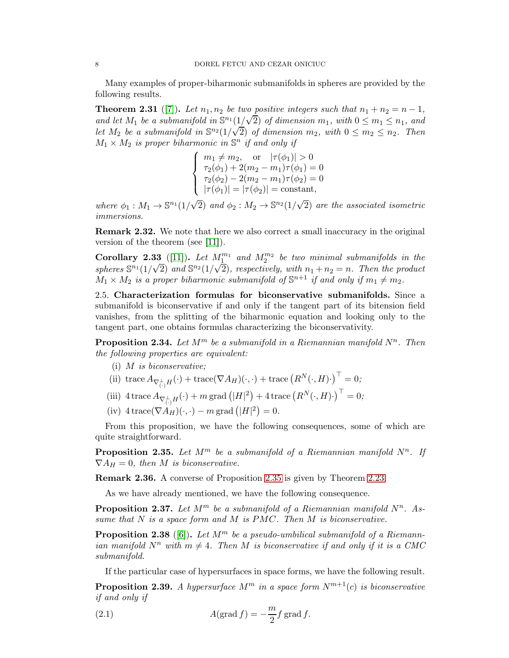Many examples of proper-biharmonic submanifolds in spheres are provided by the following results.

**Theorem 2.31** ([\[7\]](#page-20-5)). Let  $n_1, n_2$  be two positive integers such that  $n_1 + n_2 = n - 1$ , and let  $M_1$  be a submanifold in  $\mathbb{S}^{n_1}(\frac{1}{\sqrt{2}})$  of dimension  $m_1$ , with  $0 \leq m_1 \leq n_1$ , and Let  $M_2$  be a submanifold in  $\mathbb{S}^{n_2}(1/\sqrt{2})$  of dimension  $m_2$ , with  $0 \leq m_2 \leq n_2$ . Then  $M_1 \times M_2$  is proper biharmonic in  $\mathbb{S}^n$  if and only if

$$
\begin{cases}\nm_1 \neq m_2, \quad \text{or} \quad |\tau(\phi_1)| > 0 \\
\tau_2(\phi_1) + 2(m_2 - m_1)\tau(\phi_1) = 0 \\
\tau_2(\phi_2) - 2(m_2 - m_1)\tau(\phi_2) = 0 \\
|\tau(\phi_1)| = |\tau(\phi_2)| = \text{constant},\n\end{cases}
$$

where  $\phi_1: M_1 \to \mathbb{S}^{n_1}(1/\sqrt{2})$  and  $\phi_2: M_2 \to \mathbb{S}^{n_2}(1/\sqrt{2})$  are the associated isometric immersions.

Remark 2.32. We note that here we also correct a small inaccuracy in the original version of the theorem (see [\[11\]](#page-20-1)).

Corollary 2.33 ([\[11\]](#page-20-1)). Let  $M_1^{m_1}$  and  $M_2^{m_2}$  be two minimal submanifolds in the spheres  $\mathbb{S}^{n_1}(1/\sqrt{2})$  and  $\mathbb{S}^{n_2}(1/\sqrt{2})$ , respectively, with  $n_1 + n_2 = n$ . Then the product  $M_1 \times M_2$  is a proper biharmonic submanifold of  $\mathbb{S}^{n+1}$  if and only if  $m_1 \neq m_2$ .

2.5. Characterization formulas for biconservative submanifolds. Since a submanifold is biconservative if and only if the tangent part of its bitension field vanishes, from the splitting of the biharmonic equation and looking only to the tangent part, one obtains formulas characterizing the biconservativity.

**Proposition 2.34.** Let  $M^m$  be a submanifold in a Riemannian manifold  $N^n$ . Then the following properties are equivalent:

- (i) M is biconservative;
- (ii) trace  $A_{\nabla_{\left(\cdot\right)}^{\perp}H}(\cdot) + \text{trace}(\nabla A_H)(\cdot,\cdot) + \text{trace}\left(R^N(\cdot,H)\cdot\right)^{\top} = 0;$
- (iii)  $4 \operatorname{trace} A_{\nabla_{\left(\cdot\right)}^{\perp} H}(\cdot) + m \operatorname{grad} \left(|H|^2\right) + 4 \operatorname{trace} \left(R^{N}(\cdot,H)\cdot\right)^{\top} = 0;$
- (iv)  $4 \operatorname{trace}(\nabla A_H)(\cdot, \cdot) m \operatorname{grad} (|H|^2) = 0.$

From this proposition, we have the following consequences, some of which are quite straightforward.

<span id="page-7-0"></span>**Proposition 2.35.** Let  $M^m$  be a submanifold of a Riemannian manifold  $N^n$ . If  $\nabla A_H = 0$ , then M is biconservative.

Remark 2.36. A converse of Proposition [2.35](#page-7-0) is given by Theorem [2.23.](#page-5-1)

As we have already mentioned, we have the following consequence.

**Proposition 2.37.** Let  $M^m$  be a submanifold of a Riemannian manifold  $N^n$ . Assume that  $N$  is a space form and  $M$  is  $PMC$ . Then  $M$  is biconservative.

**Proposition 2.38** ([\[6\]](#page-20-4)). Let  $M^m$  be a pseudo-umbilical submanifold of a Riemannian manifold  $N^n$  with  $m \neq 4$ . Then M is biconservative if and only if it is a CMC submanifold.

If the particular case of hypersurfaces in space forms, we have the following result.

**Proposition 2.39.** A hypersurface  $M^m$  in a space form  $N^{m+1}(c)$  is biconservative if and only if

(2.1) 
$$
A(\operatorname{grad} f) = -\frac{m}{2} f \operatorname{grad} f.
$$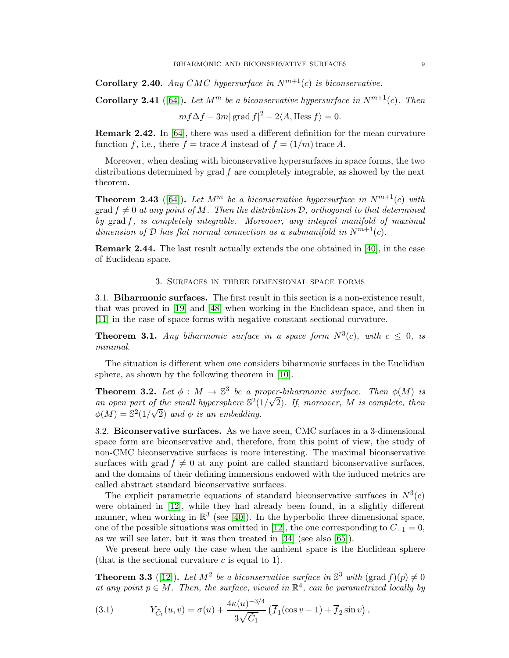**Corollary 2.40.** Any CMC hypersurface in  $N^{m+1}(c)$  is biconservative.

**Corollary 2.41** ([\[64\]](#page-22-17)). Let  $M^m$  be a biconservative hypersurface in  $N^{m+1}(c)$ . Then

$$
mf\Delta f - 3m|\operatorname{grad} f|^2 - 2\langle A, \operatorname{Hess} f \rangle = 0.
$$

Remark 2.42. In [\[64\]](#page-22-17), there was used a different definition for the mean curvature function f, i.e., there  $f = \text{trace } A$  instead of  $f = (1/m) \text{trace } A$ .

Moreover, when dealing with biconservative hypersurfaces in space forms, the two distributions determined by grad f are completely integrable, as showed by the next theorem.

**Theorem 2.43** ([\[64\]](#page-22-17)). Let  $M^m$  be a biconservative hypersurface in  $N^{m+1}(c)$  with grad  $f \neq 0$  at any point of M. Then the distribution D, orthogonal to that determined by grad f, is completely integrable. Moreover, any integral manifold of maximal dimension of  $\mathcal D$  has flat normal connection as a submanifold in  $N^{m+1}(c)$ .

Remark 2.44. The last result actually extends the one obtained in [\[40\]](#page-21-14), in the case of Euclidean space.

## 3. Surfaces in three dimensional space forms

3.1. Biharmonic surfaces. The first result in this section is a non-existence result, that was proved in [\[19\]](#page-21-15) and [\[48\]](#page-22-18) when working in the Euclidean space, and then in [\[11\]](#page-20-1) in the case of space forms with negative constant sectional curvature.

**Theorem 3.1.** Any biharmonic surface in a space form  $N^3(c)$ , with  $c \leq 0$ , is minimal.

The situation is different when one considers biharmonic surfaces in the Euclidian sphere, as shown by the following theorem in [\[10\]](#page-20-6).

**Theorem 3.2.** Let  $\phi : M \to \mathbb{S}^3$  be a proper-biharmonic surface. Then  $\phi(M)$  is an open part of the small hypersphere  $\mathbb{S}^2(1/\sqrt{2})$ . If, moreover, M is complete, then  $\phi(M) = \mathbb{S}^2(1/\sqrt{2})$  and  $\phi$  is an embedding.

3.2. Biconservative surfaces. As we have seen, CMC surfaces in a 3-dimensional space form are biconservative and, therefore, from this point of view, the study of non-CMC biconservative surfaces is more interesting. The maximal biconservative surfaces with grad  $f \neq 0$  at any point are called standard biconservative surfaces, and the domains of their defining immersions endowed with the induced metrics are called abstract standard biconservative surfaces.

The explicit parametric equations of standard biconservative surfaces in  $N^3(c)$ were obtained in [\[12\]](#page-20-7), while they had already been found, in a slightly different manner, when working in  $\mathbb{R}^3$  (see [\[40\]](#page-21-14)). In the hyperbolic three dimensional space, one of the possible situations was omitted in [\[12\]](#page-20-7), the one corresponding to  $C_{-1} = 0$ , as we will see later, but it was then treated in [\[34\]](#page-21-16) (see also [\[65\]](#page-22-19)).

We present here only the case when the ambient space is the Euclidean sphere (that is the sectional curvature  $c$  is equal to 1).

<span id="page-8-0"></span>**Theorem 3.3** ([\[12\]](#page-20-7)). Let  $M^2$  be a biconservative surface in  $\mathbb{S}^3$  with  $(\text{grad } f)(p) \neq 0$ at any point  $p \in M$ . Then, the surface, viewed in  $\mathbb{R}^4$ , can be parametrized locally by

(3.1) 
$$
Y_{\tilde{C}_1}(u,v) = \sigma(u) + \frac{4\kappa(u)^{-3/4}}{3\sqrt{\tilde{C}_1}} \left( \overline{f}_1(\cos v - 1) + \overline{f}_2 \sin v \right),
$$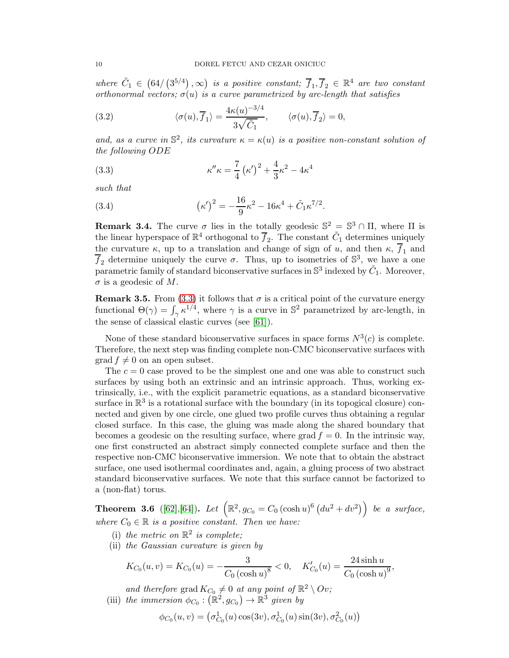where  $\tilde{C}_1 \in (64/(3^{5/4}), \infty)$  is a positive constant;  $\overline{f}_1, \overline{f}_2 \in \mathbb{R}^4$  are two constant orthonormal vectors;  $\sigma(u)$  is a curve parametrized by arc-length that satisfies

(3.2) 
$$
\langle \sigma(u), \overline{f}_1 \rangle = \frac{4\kappa(u)^{-3/4}}{3\sqrt{\tilde{C}_1}}, \qquad \langle \sigma(u), \overline{f}_2 \rangle = 0,
$$

and, as a curve in  $\mathbb{S}^2$ , its curvature  $\kappa = \kappa(u)$  is a positive non-constant solution of the following ODE

<span id="page-9-0"></span>(3.3) 
$$
\kappa'' \kappa = \frac{7}{4} (\kappa')^2 + \frac{4}{3} \kappa^2 - 4 \kappa^4
$$

such that

(3.4) 
$$
(\kappa')^2 = -\frac{16}{9}\kappa^2 - 16\kappa^4 + \tilde{C}_1\kappa^{7/2}.
$$

**Remark 3.4.** The curve  $\sigma$  lies in the totally geodesic  $\mathbb{S}^2 = \mathbb{S}^3 \cap \Pi$ , where  $\Pi$  is the linear hyperspace of  $\mathbb{R}^4$  orthogonal to  $\overline{f}_2$ . The constant  $\tilde{C}_1$  determines uniquely the curvature  $\kappa$ , up to a translation and change of sign of u, and then  $\kappa$ ,  $\overline{f}_1$  and  $\overline{f}_2$  determine uniquely the curve  $\sigma$ . Thus, up to isometries of  $\mathbb{S}^3$ , we have a one parametric family of standard biconservative surfaces in  $\mathbb{S}^3$  indexed by  $\tilde{C}_1$ . Moreover,  $\sigma$  is a geodesic of M.

**Remark 3.5.** From [\(3.3\)](#page-9-0) it follows that  $\sigma$  is a critical point of the curvature energy functional  $\Theta(\gamma) = \int_{\gamma} \kappa^{1/4}$ , where  $\gamma$  is a curve in  $\mathbb{S}^2$  parametrized by arc-length, in the sense of classical elastic curves (see [\[61\]](#page-22-20)).

None of these standard biconservative surfaces in space forms  $N^3(c)$  is complete. Therefore, the next step was finding complete non-CMC biconservative surfaces with  $\operatorname{grad} f \neq 0$  on an open subset.

The  $c = 0$  case proved to be the simplest one and one was able to construct such surfaces by using both an extrinsic and an intrinsic approach. Thus, working extrinsically, i.e., with the explicit parametric equations, as a standard biconservative surface in  $\mathbb{R}^3$  is a rotational surface with the boundary (in its topogical closure) connected and given by one circle, one glued two profile curves thus obtaining a regular closed surface. In this case, the gluing was made along the shared boundary that becomes a geodesic on the resulting surface, where grad  $f = 0$ . In the intrinsic way, one first constructed an abstract simply connected complete surface and then the respective non-CMC biconservative immersion. We note that to obtain the abstract surface, one used isothermal coordinates and, again, a gluing process of two abstract standard biconservative surfaces. We note that this surface cannot be factorized to a (non-flat) torus.

**Theorem 3.6** ([\[62\]](#page-22-21),[\[64\]](#page-22-17)). Let  $(\mathbb{R}^2, g_{C_0} = C_0 (\cosh u)^6 (du^2 + dv^2))$  be a surface, where  $C_0 \in \mathbb{R}$  is a positive constant. Then we have:

- (i) the metric on  $\mathbb{R}^2$  is complete;
- (ii) the Gaussian curvature is given by

$$
K_{C_0}(u,v) = K_{C_0}(u) = -\frac{3}{C_0 (\cosh u)^8} < 0, \quad K'_{C_0}(u) = \frac{24 \sinh u}{C_0 (\cosh u)^9},
$$

and therefore grad  $K_{C_0} \neq 0$  at any point of  $\mathbb{R}^2 \setminus Ov$ ; (iii) the immersion  $\phi_{C_0} : (\mathbb{R}^2, g_{C_0}) \to \mathbb{R}^3$  given by

$$
\phi_{C_0}(u,v) = (\sigma^1_{C_0}(u)\cos(3v), \sigma^1_{C_0}(u)\sin(3v), \sigma^2_{C_0}(u))
$$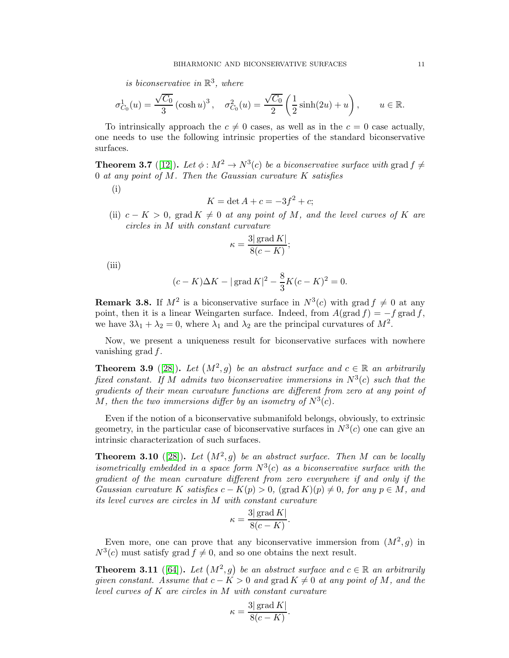is biconservative in  $\mathbb{R}^3$ , where

$$
\sigma_{C_0}^1(u) = \frac{\sqrt{C_0}}{3} (\cosh u)^3, \quad \sigma_{C_0}^2(u) = \frac{\sqrt{C_0}}{2} \left( \frac{1}{2} \sinh(2u) + u \right), \qquad u \in \mathbb{R}.
$$

To intrinsically approach the  $c \neq 0$  cases, as well as in the  $c = 0$  case actually, one needs to use the following intrinsic properties of the standard biconservative surfaces.

**Theorem 3.7** ([\[12\]](#page-20-7)). Let  $\phi : M^2 \to N^3(c)$  be a biconservative surface with grad  $f \neq$ 0 at any point of  $M$ . Then the Gaussian curvature  $K$  satisfies

(i)

$$
K = \det A + c = -3f^2 + c;
$$

(ii)  $c - K > 0$ , grad  $K \neq 0$  at any point of M, and the level curves of K are circles in M with constant curvature

$$
\kappa = \frac{3|\operatorname{grad} K|}{8(c-K)};
$$

(iii)

$$
(c - K)\Delta K - |\operatorname{grad} K|^2 - \frac{8}{3}K(c - K)^2 = 0.
$$

**Remark 3.8.** If  $M^2$  is a biconservative surface in  $N^3(c)$  with grad  $f \neq 0$  at any point, then it is a linear Weingarten surface. Indeed, from  $A(\text{grad } f) = -f \text{ grad } f$ , we have  $3\lambda_1 + \lambda_2 = 0$ , where  $\lambda_1$  and  $\lambda_2$  are the principal curvatures of  $M^2$ .

Now, we present a uniqueness result for biconservative surfaces with nowhere vanishing grad  $f$ .

**Theorem 3.9** ([\[28\]](#page-21-17)). Let  $(M^2, g)$  be an abstract surface and  $c \in \mathbb{R}$  an arbitrarily fixed constant. If M admits two biconservative immersions in  $N^3(c)$  such that the gradients of their mean curvature functions are different from zero at any point of M, then the two immersions differ by an isometry of  $N^3(c)$ .

Even if the notion of a biconservative submanifold belongs, obviously, to extrinsic geometry, in the particular case of biconservative surfaces in  $N^3(c)$  one can give an intrinsic characterization of such surfaces.

<span id="page-10-0"></span>**Theorem 3.10** ([\[28\]](#page-21-17)). Let  $(M^2, g)$  be an abstract surface. Then M can be locally isometrically embedded in a space form  $N^3(c)$  as a biconservative surface with the gradient of the mean curvature different from zero everywhere if and only if the Gaussian curvature K satisfies  $c - K(p) > 0$ , (grad  $K(p) \neq 0$ , for any  $p \in M$ , and its level curves are circles in M with constant curvature

$$
\kappa = \frac{3|\operatorname{grad} K|}{8(c-K)}.
$$

Even more, one can prove that any biconservative immersion from  $(M^2, g)$  in  $N^3(c)$  must satisfy grad  $f \neq 0$ , and so one obtains the next result.

<span id="page-10-1"></span>**Theorem 3.11** ([\[64\]](#page-22-17)). Let  $(M^2, g)$  be an abstract surface and  $c \in \mathbb{R}$  an arbitrarily given constant. Assume that  $c - K > 0$  and grad  $K \neq 0$  at any point of M, and the level curves of K are circles in M with constant curvature

$$
\kappa = \frac{3|\operatorname{grad} K|}{8(c-K)}.
$$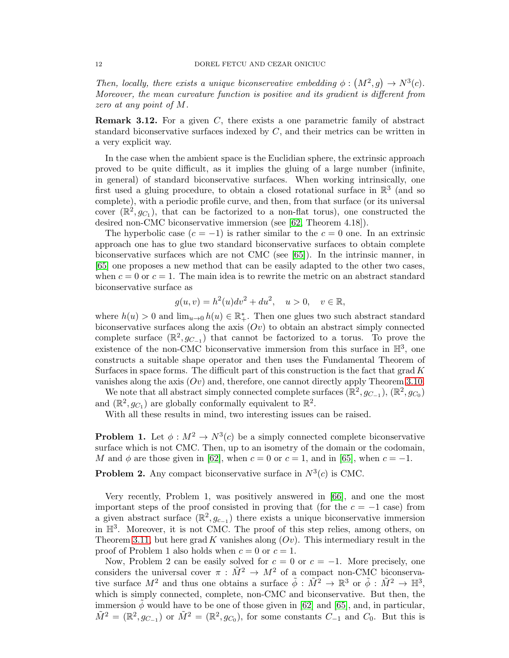Then, locally, there exists a unique biconservative embedding  $\phi : (M^2, g) \to N^3(c)$ . Moreover, the mean curvature function is positive and its gradient is different from zero at any point of M.

**Remark 3.12.** For a given C, there exists a one parametric family of abstract standard biconservative surfaces indexed by  $C$ , and their metrics can be written in a very explicit way.

In the case when the ambient space is the Euclidian sphere, the extrinsic approach proved to be quite difficult, as it implies the gluing of a large number (infinite, in general) of standard biconservative surfaces. When working intrinsically, one first used a gluing procedure, to obtain a closed rotational surface in  $\mathbb{R}^3$  (and so complete), with a periodic profile curve, and then, from that surface (or its universal cover  $(\mathbb{R}^2, g_{C_1})$ , that can be factorized to a non-flat torus), one constructed the desired non-CMC biconservative immersion (see [\[62,](#page-22-21) Theorem 4.18]).

The hyperbolic case  $(c = -1)$  is rather similar to the  $c = 0$  one. In an extrinsic approach one has to glue two standard biconservative surfaces to obtain complete biconservative surfaces which are not CMC (see [\[65\]](#page-22-19)). In the intrinsic manner, in [\[65\]](#page-22-19) one proposes a new method that can be easily adapted to the other two cases, when  $c = 0$  or  $c = 1$ . The main idea is to rewrite the metric on an abstract standard biconservative surface as

$$
g(u, v) = h2(u)dv2 + du2
$$
,  $u > 0$ ,  $v \in \mathbb{R}$ ,

where  $h(u) > 0$  and  $\lim_{u \to 0} h(u) \in \mathbb{R}^*$ . Then one glues two such abstract standard biconservative surfaces along the axis  $(Ov)$  to obtain an abstract simply connected complete surface  $(\mathbb{R}^2, g_{C-1})$  that cannot be factorized to a torus. To prove the existence of the non-CMC biconservative immersion from this surface in  $\mathbb{H}^3$ , one constructs a suitable shape operator and then uses the Fundamental Theorem of Surfaces in space forms. The difficult part of this construction is the fact that grad  $K$ vanishes along the axis  $(Ov)$  and, therefore, one cannot directly apply Theorem [3.10.](#page-10-0)

We note that all abstract simply connected complete surfaces  $(\mathbb{R}^2, g_{C-1}), (\mathbb{R}^2, g_{C_0})$ and  $(\mathbb{R}^2, g_{C_1})$  are globally conformally equivalent to  $\mathbb{R}^2$ .

With all these results in mind, two interesting issues can be raised.

**Problem 1.** Let  $\phi: M^2 \to N^3(c)$  be a simply connected complete biconservative surface which is not CMC. Then, up to an isometry of the domain or the codomain, M and  $\phi$  are those given in [\[62\]](#page-22-21), when  $c = 0$  or  $c = 1$ , and in [\[65\]](#page-22-19), when  $c = -1$ .

**Problem 2.** Any compact biconservative surface in  $N^3(c)$  is CMC.

Very recently, Problem 1, was positively answered in [\[66\]](#page-22-22), and one the most important steps of the proof consisted in proving that (for the  $c = -1$  case) from a given abstract surface  $(\mathbb{R}^2, g_{c-1})$  there exists a unique biconservative immersion in H<sup>3</sup> . Moreover, it is not CMC. The proof of this step relies, among others, on Theorem [3.11,](#page-10-1) but here grad K vanishes along  $(Ov)$ . This intermediary result in the proof of Problem 1 also holds when  $c = 0$  or  $c = 1$ .

Now, Problem 2 can be easily solved for  $c = 0$  or  $c = -1$ . More precisely, one considers the universal cover  $\pi$ :  $\tilde{M}^2 \to M^2$  of a compact non-CMC biconservative surface  $M^2$  and thus one obtains a surface  $\tilde{\phi}: \tilde{M}^2 \to \mathbb{R}^3$  or  $\tilde{\phi}: \tilde{M}^2 \to \mathbb{H}^3$ , which is simply connected, complete, non-CMC and biconservative. But then, the immersion  $\phi$  would have to be one of those given in [\[62\]](#page-22-21) and [\[65\]](#page-22-19), and, in particular,  $\tilde{M}^2 = (\mathbb{R}^2, g_{C-1})$  or  $\tilde{M}^2 = (\mathbb{R}^2, g_{C_0})$ , for some constants  $C_{-1}$  and  $C_0$ . But this is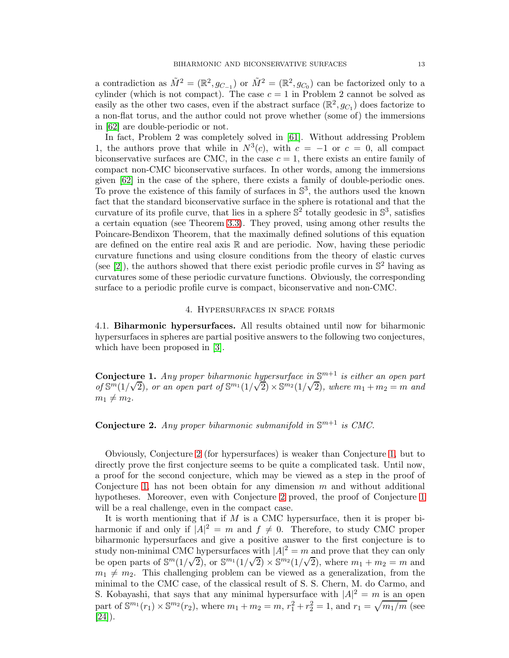a contradiction as  $\tilde{M}^2 = (\mathbb{R}^2, g_{C-1})$  or  $\tilde{M}^2 = (\mathbb{R}^2, g_{C_0})$  can be factorized only to a cylinder (which is not compact). The case  $c = 1$  in Problem 2 cannot be solved as easily as the other two cases, even if the abstract surface  $(\mathbb{R}^2, g_{C_1})$  does factorize to a non-flat torus, and the author could not prove whether (some of) the immersions in [\[62\]](#page-22-21) are double-periodic or not.

In fact, Problem 2 was completely solved in [\[61\]](#page-22-20). Without addressing Problem 1, the authors prove that while in  $N^3(c)$ , with  $c = -1$  or  $c = 0$ , all compact biconservative surfaces are CMC, in the case  $c = 1$ , there exists an entire family of compact non-CMC biconservative surfaces. In other words, among the immersions given [\[62\]](#page-22-21) in the case of the sphere, there exists a family of double-periodic ones. To prove the existence of this family of surfaces in  $\mathbb{S}^3$ , the authors used the known fact that the standard biconservative surface in the sphere is rotational and that the curvature of its profile curve, that lies in a sphere  $\mathbb{S}^2$  totally geodesic in  $\mathbb{S}^3$ , satisfies a certain equation (see Theorem [3.3\)](#page-8-0). They proved, using among other results the Poincare-Bendixon Theorem, that the maximally defined solutions of this equation are defined on the entire real axis  $\mathbb R$  and are periodic. Now, having these periodic curvature functions and using closure conditions from the theory of elastic curves (see  $[2]$ ), the authors showed that there exist periodic profile curves in  $\mathbb{S}^2$  having as curvatures some of these periodic curvature functions. Obviously, the corresponding surface to a periodic profile curve is compact, biconservative and non-CMC.

## 4. Hypersurfaces in space forms

4.1. Biharmonic hypersurfaces. All results obtained until now for biharmonic hypersurfaces in spheres are partial positive answers to the following two conjectures, which have been proposed in [\[3\]](#page-20-3).

<span id="page-12-1"></span>**Conjecture 1.** Any proper biharmonic hypersurface in  $\mathbb{S}^{m+1}$  is either an open part  $\log \frac{\text{S}_{m}}{1/\sqrt{2}}$ , or an open part of  $\mathbb{S}_{m1}(1/\sqrt{2}) \times \mathbb{S}_{m2}(1/\sqrt{2})$ , where  $m_1 + m_2 = m$  and  $m_1 \neq m_2$ .

<span id="page-12-0"></span>**Conjecture 2.** Any proper biharmonic submanifold in  $\mathbb{S}^{m+1}$  is CMC.

Obviously, Conjecture [2](#page-12-0) (for hypersurfaces) is weaker than Conjecture [1,](#page-12-1) but to directly prove the first conjecture seems to be quite a complicated task. Until now, a proof for the second conjecture, which may be viewed as a step in the proof of Conjecture [1,](#page-12-1) has not been obtain for any dimension  $m$  and without additional hypotheses. Moreover, even with Conjecture [2](#page-12-0) proved, the proof of Conjecture [1](#page-12-1) will be a real challenge, even in the compact case.

It is worth mentioning that if  $M$  is a CMC hypersurface, then it is proper biharmonic if and only if  $|A|^2 = m$  and  $f \neq 0$ . Therefore, to study CMC proper biharmonic hypersurfaces and give a positive answer to the first conjecture is to study non-minimal CMC hypersurfaces with  $|A|^2 = m$  and prove that they can only be open parts of  $\mathbb{S}^m(1/\sqrt{2})$ , or  $\mathbb{S}^{m_1}(1/\sqrt{2}) \times \mathbb{S}^{m_2}(1/\sqrt{2})$ , where  $m_1 + m_2 = m$  and  $m_1 \neq m_2$ . This challenging problem can be viewed as a generalization, from the minimal to the CMC case, of the classical result of S. S. Chern, M. do Carmo, and S. Kobayashi, that says that any minimal hypersurface with  $|A|^2 = m$  is an open part of  $\mathbb{S}^{m_1}(r_1) \times \mathbb{S}^{m_2}(r_2)$ , where  $m_1 + m_2 = m$ ,  $r_1^2 + r_2^2 = 1$ , and  $r_1 = \sqrt{m_1/m}$  (see  $[24]$ ).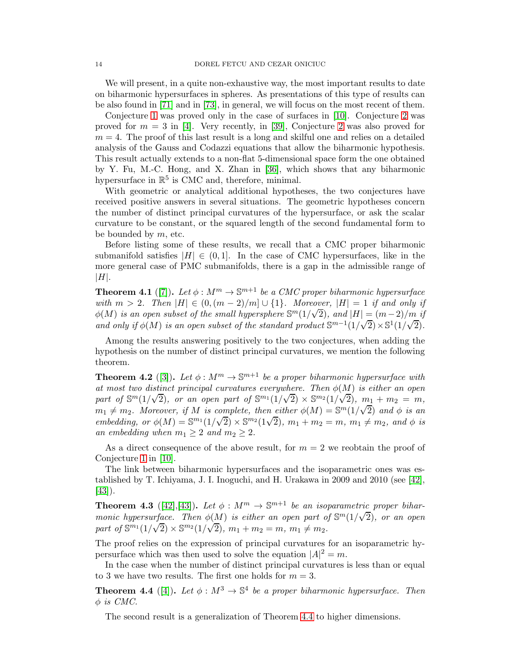We will present, in a quite non-exhaustive way, the most important results to date on biharmonic hypersurfaces in spheres. As presentations of this type of results can be also found in [\[71\]](#page-22-23) and in [\[73\]](#page-22-24), in general, we will focus on the most recent of them.

Conjecture [1](#page-12-1) was proved only in the case of surfaces in [\[10\]](#page-20-6). Conjecture [2](#page-12-0) was proved for  $m = 3$  in [\[4\]](#page-20-9). Very recently, in [\[39\]](#page-21-19), Conjecture [2](#page-12-0) was also proved for  $m = 4$ . The proof of this last result is a long and skilful one and relies on a detailed analysis of the Gauss and Codazzi equations that allow the biharmonic hypothesis. This result actually extends to a non-flat 5-dimensional space form the one obtained by Y. Fu, M.-C. Hong, and X. Zhan in [\[36\]](#page-21-20), which shows that any biharmonic hypersurface in  $\mathbb{R}^5$  is CMC and, therefore, minimal.

With geometric or analytical additional hypotheses, the two conjectures have received positive answers in several situations. The geometric hypotheses concern the number of distinct principal curvatures of the hypersurface, or ask the scalar curvature to be constant, or the squared length of the second fundamental form to be bounded by  $m$ , etc.

Before listing some of these results, we recall that a CMC proper biharmonic submanifold satisfies  $|H| \in (0,1]$ . In the case of CMC hypersurfaces, like in the more general case of PMC submanifolds, there is a gap in the admissible range of  $|H|$ .

**Theorem 4.1** ([\[7\]](#page-20-5)). Let  $\phi : M^m \to \mathbb{S}^{m+1}$  be a CMC proper biharmonic hypersurface with  $m > 2$ . Then  $|H| \in (0, (m-2)/m] \cup \{1\}$ . Moreover,  $|H| = 1$  if and only if  $\phi(M)$  is an open subset of the small hypersphere  $\mathbb{S}^m(1/\sqrt{2})$ , and  $|H| = (m-2)/m$  if and only if  $\phi(M)$  is an open subset of the standard product  $\mathbb{S}^{m-1}(1/\sqrt{2}) \times \mathbb{S}^1(1/\sqrt{2})$ .

Among the results answering positively to the two conjectures, when adding the hypothesis on the number of distinct principal curvatures, we mention the following theorem.

<span id="page-13-2"></span>**Theorem 4.2** ([\[3\]](#page-20-3)). Let  $\phi : M^m \to \mathbb{S}^{m+1}$  be a proper biharmonic hypersurface with at most two distinct principal curvatures everywhere. Then  $\phi(M)$  is either an open part of  $\mathbb{S}^m(1/\sqrt{2})$ , or an open part of  $\mathbb{S}^{m_1}(1/\sqrt{2}) \times \mathbb{S}^{m_2}(1/\sqrt{2})$ ,  $m_1 + m_2 = m$ ,  $m_1 \neq m_2$ . Moreover, if M is complete, then either  $\phi(M) = \mathbb{S}^m(1/\sqrt{2})$  and  $\phi$  is an embedding, or  $\phi(M) = \mathbb{S}^{m_1}(1/\sqrt{2}) \times \mathbb{S}^{m_2}(1\sqrt{2})$ ,  $m_1 + m_2 = m$ ,  $m_1 \neq m_2$ , and  $\phi$  is an embedding when  $m_1 \geq 2$  and  $m_2 \geq 2$ .

As a direct consequence of the above result, for  $m = 2$  we reobtain the proof of Conjecture [1](#page-12-1) in [\[10\]](#page-20-6).

The link between biharmonic hypersurfaces and the isoparametric ones was established by T. Ichiyama, J. I. Inoguchi, and H. Urakawa in 2009 and 2010 (see [\[42\]](#page-21-21), [\[43\]](#page-21-22)).

<span id="page-13-1"></span>**Theorem 4.3** ([\[42\]](#page-21-21), [\[43\]](#page-21-22)). Let  $\phi: M^m \to \mathbb{S}^{m+1}$  be an isoparametric proper biharmonic hypersurface. Then  $\phi(M)$  is either an open part of  $\mathbb{S}^m(1/\sqrt{2})$ , or an open part of  $\mathbb{S}^{m_1}(1/\sqrt{2}) \times \mathbb{S}^{m_2}(1/\sqrt{2})$ ,  $m_1 + m_2 = m$ ,  $m_1 \neq m_2$ .

The proof relies on the expression of principal curvatures for an isoparametric hypersurface which was then used to solve the equation  $|A|^2 = m$ .

In the case when the number of distinct principal curvatures is less than or equal to 3 we have two results. The first one holds for  $m = 3$ .

<span id="page-13-0"></span>**Theorem 4.4** ([\[4\]](#page-20-9)). Let  $\phi : M^3 \to \mathbb{S}^4$  be a proper biharmonic hypersurface. Then  $\phi$  is CMC.

The second result is a generalization of Theorem [4.4](#page-13-0) to higher dimensions.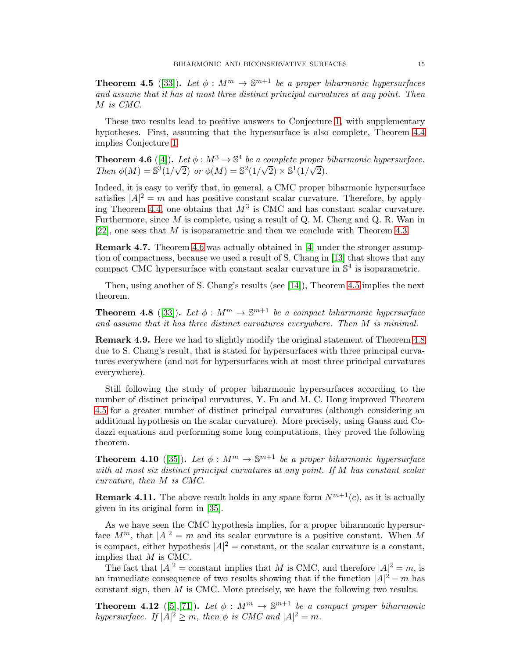<span id="page-14-1"></span>**Theorem 4.5** ([\[33\]](#page-21-23)). Let  $\phi : M^m \to \mathbb{S}^{m+1}$  be a proper biharmonic hypersurfaces and assume that it has at most three distinct principal curvatures at any point. Then M is CMC.

These two results lead to positive answers to Conjecture [1,](#page-12-1) with supplementary hypotheses. First, assuming that the hypersurface is also complete, Theorem [4.4](#page-13-0) implies Conjecture [1.](#page-12-1)

<span id="page-14-0"></span>**Theorem 4.6** ([\[4\]](#page-20-9)). Let  $\phi : M^3 \to \mathbb{S}^4$  be a complete proper biharmonic hypersurface. Then  $\phi(M) = \mathbb{S}^3(1/\sqrt{2})$  or  $\phi(M) = \mathbb{S}^2(1/\sqrt{2}) \times \mathbb{S}^1(1/\sqrt{2})$ .

Indeed, it is easy to verify that, in general, a CMC proper biharmonic hypersurface satisfies  $|A|^2 = m$  and has positive constant scalar curvature. Therefore, by apply-ing Theorem [4.4,](#page-13-0) one obtains that  $M^3$  is CMC and has constant scalar curvature. Furthermore, since  $M$  is complete, using a result of Q. M. Cheng and Q. R. Wan in [\[22\]](#page-21-24), one sees that M is isoparametric and then we conclude with Theorem [4.3.](#page-13-1)

Remark 4.7. Theorem [4.6](#page-14-0) was actually obtained in [\[4\]](#page-20-9) under the stronger assumption of compactness, because we used a result of S. Chang in [\[13\]](#page-20-10) that shows that any compact CMC hypersurface with constant scalar curvature in  $\mathbb{S}^4$  is isoparametric.

Then, using another of S. Chang's results (see [\[14\]](#page-20-11)), Theorem [4.5](#page-14-1) implies the next theorem.

<span id="page-14-2"></span>**Theorem 4.8** ([\[33\]](#page-21-23)). Let  $\phi : M^m \to \mathbb{S}^{m+1}$  be a compact biharmonic hypersurface and assume that it has three distinct curvatures everywhere. Then M is minimal.

Remark 4.9. Here we had to slightly modify the original statement of Theorem [4.8](#page-14-2) due to S. Chang's result, that is stated for hypersurfaces with three principal curvatures everywhere (and not for hypersurfaces with at most three principal curvatures everywhere).

Still following the study of proper biharmonic hypersurfaces according to the number of distinct principal curvatures, Y. Fu and M. C. Hong improved Theorem [4.5](#page-14-1) for a greater number of distinct principal curvatures (although considering an additional hypothesis on the scalar curvature). More precisely, using Gauss and Codazzi equations and performing some long computations, they proved the following theorem.

**Theorem 4.10** ([\[35\]](#page-21-25)). Let  $\phi : M^m \to \mathbb{S}^{m+1}$  be a proper biharmonic hypersurface with at most six distinct principal curvatures at any point. If M has constant scalar curvature, then M is CMC.

**Remark 4.11.** The above result holds in any space form  $N^{m+1}(c)$ , as it is actually given in its original form in [\[35\]](#page-21-25).

As we have seen the CMC hypothesis implies, for a proper biharmonic hypersurface  $M^m$ , that  $|A|^2 = m$  and its scalar curvature is a positive constant. When M is compact, either hypothesis  $|A|^2$  = constant, or the scalar curvature is a constant, implies that M is CMC.

The fact that  $|A|^2$  = constant implies that M is CMC, and therefore  $|A|^2 = m$ , is an immediate consequence of two results showing that if the function  $|A|^2 - m$  has constant sign, then M is CMC. More precisely, we have the following two results.

**Theorem 4.12** ([\[5\]](#page-20-12),[\[71\]](#page-22-23)). Let  $\phi : M^m \to \mathbb{S}^{m+1}$  be a compact proper biharmonic hypersurface. If  $|A|^2 \ge m$ , then  $\phi$  is CMC and  $|A|^2 = m$ .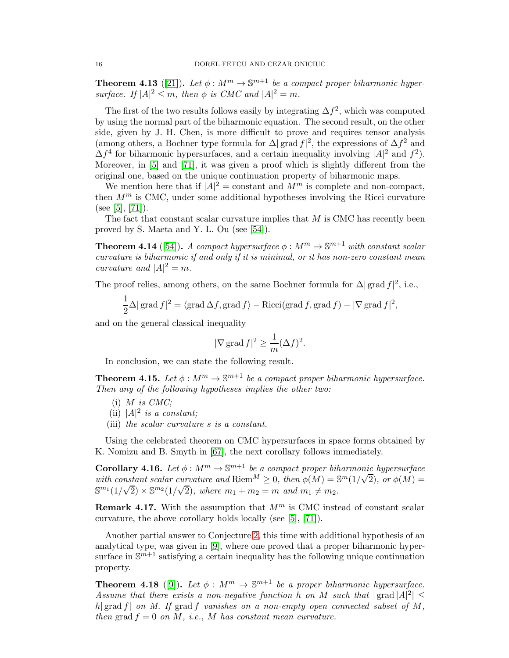<span id="page-15-0"></span>**Theorem 4.13** ([\[21\]](#page-21-7)). Let  $\phi : M^m \to \mathbb{S}^{m+1}$  be a compact proper biharmonic hypersurface. If  $|A|^2 \leq m$ , then  $\phi$  is CMC and  $|A|^2 = m$ .

The first of the two results follows easily by integrating  $\Delta f^2$ , which was computed by using the normal part of the biharmonic equation. The second result, on the other side, given by J. H. Chen, is more difficult to prove and requires tensor analysis (among others, a Bochner type formula for  $\Delta |\text{ grad } f|^2$ , the expressions of  $\Delta f^2$  and  $\Delta f^4$  for biharmonic hypersurfaces, and a certain inequality involving  $|A|^2$  and  $f^2$ ). Moreover, in [\[5\]](#page-20-12) and [\[71\]](#page-22-23), it was given a proof which is slightly different from the original one, based on the unique continuation property of biharmonic maps.

We mention here that if  $|A|^2$  = constant and  $M^m$  is complete and non-compact, then  $M^m$  is CMC, under some additional hypotheses involving the Ricci curvature (see [\[5\]](#page-20-12), [\[71\]](#page-22-23)).

The fact that constant scalar curvature implies that  $M$  is CMC has recently been proved by S. Maeta and Y. L. Ou (see [\[54\]](#page-22-25)).

**Theorem 4.14** ([\[54\]](#page-22-25)). A compact hypersurface  $\phi : M^m \to \mathbb{S}^{m+1}$  with constant scalar curvature is biharmonic if and only if it is minimal, or it has non-zero constant mean curvature and  $|A|^2 = m$ .

The proof relies, among others, on the same Bochner formula for  $\Delta |\text{grad } f|^2$ , i.e.,

$$
\frac{1}{2}\Delta |\operatorname{grad} f|^2 = \langle \operatorname{grad} \Delta f, \operatorname{grad} f \rangle - \operatorname{Ricci}(\operatorname{grad} f, \operatorname{grad} f) - |\nabla \operatorname{grad} f|^2,
$$

and on the general classical inequality

$$
|\nabla \operatorname{grad} f|^2 \ge \frac{1}{m} (\Delta f)^2.
$$

In conclusion, we can state the following result.

**Theorem 4.15.** Let  $\phi : M^m \to \mathbb{S}^{m+1}$  be a compact proper biharmonic hypersurface. Then any of the following hypotheses implies the other two:

- $(i)$  *M* is *CMC*;
- (ii)  $|A|^2$  is a constant;
- (iii) the scalar curvature s is a constant.

Using the celebrated theorem on CMC hypersurfaces in space forms obtained by K. Nomizu and B. Smyth in [\[67\]](#page-22-26), the next corollary follows immediately.

**Corollary 4.16.** Let  $\phi : M^m \to \mathbb{S}^{m+1}$  be a compact proper biharmonic hypersurface with constant scalar curvature and Riem<sup>M</sup>  $\geq 0$ , then  $\phi(M) = \mathbb{S}^m(1/\sqrt{2})$ , or  $\phi(M) =$  $\mathbb{S}^{m_1}(1/\sqrt{2}) \times \mathbb{S}^{m_2}(1/\sqrt{2})$ , where  $m_1 + m_2 = m$  and  $m_1 \neq m_2$ .

**Remark 4.17.** With the assumption that  $M<sup>m</sup>$  is CMC instead of constant scalar curvature, the above corollary holds locally (see [\[5\]](#page-20-12), [\[71\]](#page-22-23)).

Another partial answer to Conjecture [2,](#page-12-0) this time with additional hypothesis of an analytical type, was given in [\[9\]](#page-20-13), where one proved that a proper biharmonic hypersurface in  $\mathbb{S}^{m+1}$  satisfying a certain inequality has the following unique continuation property.

**Theorem 4.18** ([\[9\]](#page-20-13)). Let  $\phi : M^m \to \mathbb{S}^{m+1}$  be a proper biharmonic hypersurface. Assume that there exists a non-negative function h on M such that  $|\text{grad }|A|^2 \leq$ h| grad f| on M. If grad f vanishes on a non-empty open connected subset of  $M$ , then grad  $f = 0$  on M, i.e., M has constant mean curvature.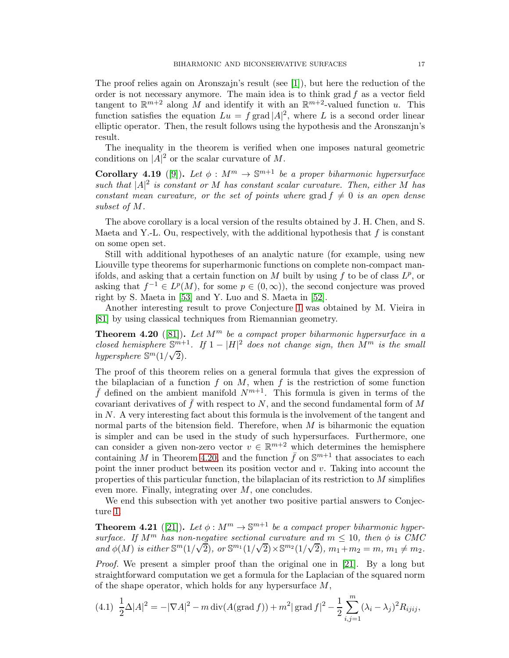The proof relies again on Aronszajn's result (see [\[1\]](#page-20-2)), but here the reduction of the order is not necessary anymore. The main idea is to think grad  $f$  as a vector field tangent to  $\mathbb{R}^{m+2}$  along M and identify it with an  $\mathbb{R}^{m+2}$ -valued function u. This function satisfies the equation  $Lu = f \text{ grad }|A|^2$ , where L is a second order linear elliptic operator. Then, the result follows using the hypothesis and the Aronszanjn's result.

The inequality in the theorem is verified when one imposes natural geometric conditions on  $|A|^2$  or the scalar curvature of M.

**Corollary 4.19** ([\[9\]](#page-20-13)). Let  $\phi : M^m \to \mathbb{S}^{m+1}$  be a proper biharmonic hypersurface such that  $|A|^2$  is constant or M has constant scalar curvature. Then, either M has constant mean curvature, or the set of points where grad  $f \neq 0$  is an open dense subset of M.

The above corollary is a local version of the results obtained by J. H. Chen, and S. Maeta and Y.-L. Ou, respectively, with the additional hypothesis that  $f$  is constant on some open set.

Still with additional hypotheses of an analytic nature (for example, using new Liouville type theorems for superharmonic functions on complete non-compact manifolds, and asking that a certain function on M built by using f to be of class  $L^p$ , or asking that  $f^{-1} \in L^p(M)$ , for some  $p \in (0, \infty)$ , the second conjecture was proved right by S. Maeta in [\[53\]](#page-22-27) and Y. Luo and S. Maeta in [\[52\]](#page-22-28).

Another interesting result to prove Conjecture [1](#page-12-1) was obtained by M. Vieira in [\[81\]](#page-23-2) by using classical techniques from Riemannian geometry.

<span id="page-16-1"></span>**Theorem 4.20** ([\[81\]](#page-23-2)). Let  $M^m$  be a compact proper biharmonic hypersurface in a closed hemisphere  $\mathbb{S}^{m+1}$ . If  $1-|H|^2$  does not change sign, then  $M^m$  is the small hypersphere  $\mathbb{S}^m(1/\sqrt{2})$ .

The proof of this theorem relies on a general formula that gives the expression of the bilaplacian of a function  $f$  on  $M$ , when  $f$  is the restriction of some function  $\bar{f}$  defined on the ambient manifold  $N^{m+1}$ . This formula is given in terms of the covariant derivatives of f with respect to  $N$ , and the second fundamental form of  $M$ in  $N$ . A very interesting fact about this formula is the involvement of the tangent and normal parts of the bitension field. Therefore, when  $M$  is biharmonic the equation is simpler and can be used in the study of such hypersurfaces. Furthermore, one can consider a given non-zero vector  $v \in \mathbb{R}^{m+2}$  which determines the hemisphere containing M in Theorem [4.20,](#page-16-1) and the function  $\bar{f}$  on  $\mathbb{S}^{m+1}$  that associates to each point the inner product between its position vector and  $v$ . Taking into account the properties of this particular function, the bilaplacian of its restriction to M simplifies even more. Finally, integrating over M, one concludes.

We end this subsection with yet another two positive partial answers to Conjecture [1.](#page-12-1)

<span id="page-16-0"></span>**Theorem 4.21** ([\[21\]](#page-21-7)). Let  $\phi : M^m \to \mathbb{S}^{m+1}$  be a compact proper biharmonic hypersurface. If  $M^m$  has non-negative sectional curvature and  $m \leq 10$ , then  $\phi$  is CMC and  $\phi(M)$  is either  $\mathbb{S}^m(1/\sqrt{2})$ , or  $\mathbb{S}^{m_1}(1/\sqrt{2}) \times \mathbb{S}^{m_2}(1/\sqrt{2})$ ,  $m_1 + m_2 = m$ ,  $m_1 \neq m_2$ .

Proof. We present a simpler proof than the original one in [\[21\]](#page-21-7). By a long but straightforward computation we get a formula for the Laplacian of the squared norm of the shape operator, which holds for any hypersurface  $M$ ,

<span id="page-16-2"></span>
$$
(4.1) \ \frac{1}{2}\Delta|A|^2 = -|\nabla A|^2 - m\operatorname{div}(A(\operatorname{grad} f)) + m^2|\operatorname{grad} f|^2 - \frac{1}{2}\sum_{i,j=1}^m (\lambda_i - \lambda_j)^2 R_{ijij},
$$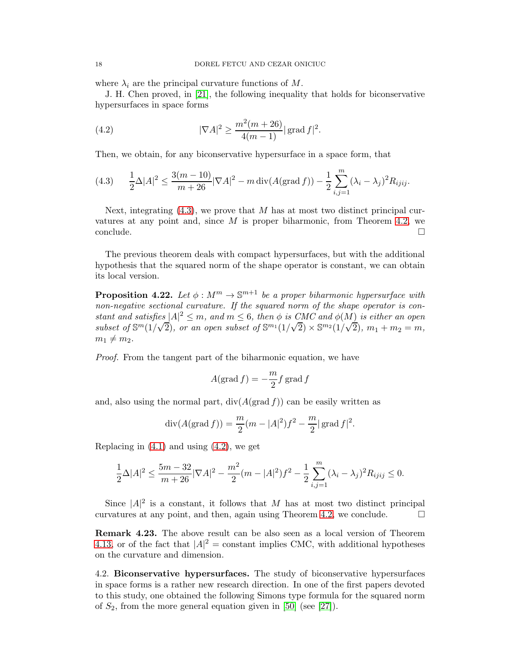where  $\lambda_i$  are the principal curvature functions of M.

J. H. Chen proved, in [\[21\]](#page-21-7), the following inequality that holds for biconservative hypersurfaces in space forms

<span id="page-17-2"></span>(4.2) 
$$
|\nabla A|^2 \ge \frac{m^2(m+26)}{4(m-1)} |\operatorname{grad} f|^2.
$$

Then, we obtain, for any biconservative hypersurface in a space form, that

<span id="page-17-1"></span>
$$
(4.3) \qquad \frac{1}{2}\Delta|A|^2 \le \frac{3(m-10)}{m+26}|\nabla A|^2 - m\operatorname{div}(A(\operatorname{grad} f)) - \frac{1}{2}\sum_{i,j=1}^m (\lambda_i - \lambda_j)^2 R_{ijij}.
$$

Next, integrating  $(4.3)$ , we prove that M has at most two distinct principal curvatures at any point and, since  $M$  is proper biharmonic, from Theorem [4.2,](#page-13-2) we conclude. □

The previous theorem deals with compact hypersurfaces, but with the additional hypothesis that the squared norm of the shape operator is constant, we can obtain its local version.

<span id="page-17-0"></span>**Proposition 4.22.** Let  $\phi: M^m \to \mathbb{S}^{m+1}$  be a proper biharmonic hypersurface with non-negative sectional curvature. If the squared norm of the shape operator is constant and satisfies  $|A|^2 \le m$ , and  $m \le 6$ , then  $\phi$  is CMC and  $\phi(M)$  is either an open subset of  $\mathbb{S}^m(1/\sqrt{2})$ , or an open subset of  $\mathbb{S}^{m_1}(1/\sqrt{2}) \times \mathbb{S}^{m_2}(1/\sqrt{2})$ ,  $m_1 + m_2 = m$ ,  $m_1 \neq m_2$ .

Proof. From the tangent part of the biharmonic equation, we have

$$
A(\operatorname{grad} f) = -\frac{m}{2} f \operatorname{grad} f
$$

and, also using the normal part,  $div(A(\text{grad } f))$  can be easily written as

$$
\operatorname{div}(A(\operatorname{grad} f)) = \frac{m}{2}(m - |A|^2)f^2 - \frac{m}{2}|\operatorname{grad} f|^2.
$$

Replacing in  $(4.1)$  and using  $(4.2)$ , we get

$$
\frac{1}{2}\Delta|A|^2 \le \frac{5m-32}{m+26}|\nabla A|^2 - \frac{m^2}{2}(m-|A|^2)f^2 - \frac{1}{2}\sum_{i,j=1}^m (\lambda_i - \lambda_j)^2 R_{ijij} \le 0.
$$

Since  $|A|^2$  is a constant, it follows that M has at most two distinct principal curvatures at any point, and then, again using Theorem [4.2,](#page-13-2) we conclude.  $\Box$ 

Remark 4.23. The above result can be also seen as a local version of Theorem [4.13,](#page-15-0) or of the fact that  $|A|^2$  = constant implies CMC, with additional hypotheses on the curvature and dimension.

4.2. Biconservative hypersurfaces. The study of biconservative hypersurfaces in space forms is a rather new research direction. In one of the first papers devoted to this study, one obtained the following Simons type formula for the squared norm of  $S_2$ , from the more general equation given in [\[50\]](#page-22-15) (see [\[27\]](#page-21-26)).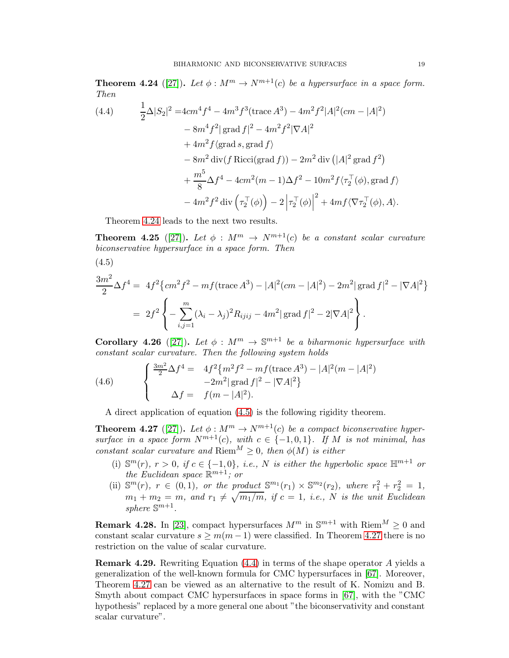<span id="page-18-1"></span>**Theorem 4.24** ([\[27\]](#page-21-26)). Let  $\phi : M^m \to N^{m+1}(c)$  be a hypersurface in a space form. Then

<span id="page-18-3"></span>(4.4) 
$$
\frac{1}{2}\Delta|S_2|^2 = 4cm^4f^4 - 4m^3f^3(\text{trace }A^3) - 4m^2f^2|A|^2(cm - |A|^2)
$$

$$
- 8m^4f^2|\text{grad }f|^2 - 4m^2f^2|\nabla A|^2
$$

$$
+ 4m^2f\langle \text{grad }s, \text{grad }f \rangle
$$

$$
- 8m^2 \text{div}(f \text{ Ricci}(\text{grad }f)) - 2m^2 \text{div}(|A|^2 \text{grad }f^2)
$$

$$
+ \frac{m^5}{8}\Delta f^4 - 4cm^2(m - 1)\Delta f^2 - 10m^2f\langle \tau_2^{\top}(\phi), \text{grad }f \rangle
$$

$$
- 4m^2f^2 \text{div}(\tau_2^{\top}(\phi)) - 2|\tau_2^{\top}(\phi)|^2 + 4mf\langle \nabla \tau_2^{\top}(\phi), A \rangle.
$$

Theorem [4.24](#page-18-1) leads to the next two results.

**Theorem 4.25** ([\[27\]](#page-21-26)). Let  $\phi : M^m \to N^{m+1}(c)$  be a constant scalar curvature biconservative hypersurface in a space form. Then

<span id="page-18-2"></span>(4.5)

$$
\frac{3m^2}{2}\Delta f^4 = 4f^2 \{ cm^2 f^2 - mf(\text{trace } A^3) - |A|^2 (cm - |A|^2) - 2m^2 |\text{grad } f|^2 - |\nabla A|^2 \}
$$
  
=  $2f^2 \left\{ -\sum_{i,j=1}^m (\lambda_i - \lambda_j)^2 R_{ijij} - 4m^2 |\text{grad } f|^2 - 2|\nabla A|^2 \right\}.$ 

Corollary 4.26 ([\[27\]](#page-21-26)). Let  $\phi : M^m \to \mathbb{S}^{m+1}$  be a biharmonic hypersurface with constant scalar curvature. Then the following system holds

(4.6) 
$$
\begin{cases} \frac{3m^2}{2}\Delta f^4 = 4f^2 \{ m^2 f^2 - mf(\text{trace } A^3) - |A|^2 (m - |A|^2) \\ -2m^2 |\operatorname{grad } f|^2 - |\nabla A|^2 \} \\ \Delta f = f(m - |A|^2). \end{cases}
$$

A direct application of equation [\(4.5\)](#page-18-2) is the following rigidity theorem.

<span id="page-18-0"></span>**Theorem 4.27** ([\[27\]](#page-21-26)). Let  $\phi : M^m \to N^{m+1}(c)$  be a compact biconservative hypersurface in a space form  $N^{m+1}(c)$ , with  $c \in \{-1,0,1\}$ . If M is not minimal, has constant scalar curvature and  $\text{Riem}^M \geq 0$ , then  $\phi(M)$  is either

- (i)  $\mathbb{S}^m(r)$ ,  $r > 0$ , if  $c \in \{-1,0\}$ , i.e., N is either the hyperbolic space  $\mathbb{H}^{m+1}$  or the Euclidean space  $\mathbb{R}^{m+1}$ ; or
- (ii)  $\mathbb{S}^m(r)$ ,  $r \in (0,1)$ , or the product  $\mathbb{S}^{m_1}(r_1) \times \mathbb{S}^{m_2}(r_2)$ , where  $r_1^2 + r_2^2 = 1$ ,  $m_1 + m_2 = m$ , and  $r_1 \neq \sqrt{m_1/m}$ , if  $c = 1$ , i.e., N is the unit Euclidean sphere  $\mathbb{S}^{m+1}$ .

**Remark 4.28.** In [\[23\]](#page-21-27), compact hypersurfaces  $M^m$  in  $\mathbb{S}^{m+1}$  with  $\text{Riem}^M \geq 0$  and constant scalar curvature  $s \geq m(m-1)$  were classified. In Theorem [4.27](#page-18-0) there is no restriction on the value of scalar curvature.

<span id="page-18-4"></span>Remark 4.29. Rewriting Equation [\(4.4\)](#page-18-3) in terms of the shape operator A yields a generalization of the well-known formula for CMC hypersurfaces in [\[67\]](#page-22-26). Moreover, Theorem [4.27](#page-18-0) can be viewed as an alternative to the result of K. Nomizu and B. Smyth about compact CMC hypersurfaces in space forms in [\[67\]](#page-22-26), with the "CMC hypothesis" replaced by a more general one about "the biconservativity and constant scalar curvature".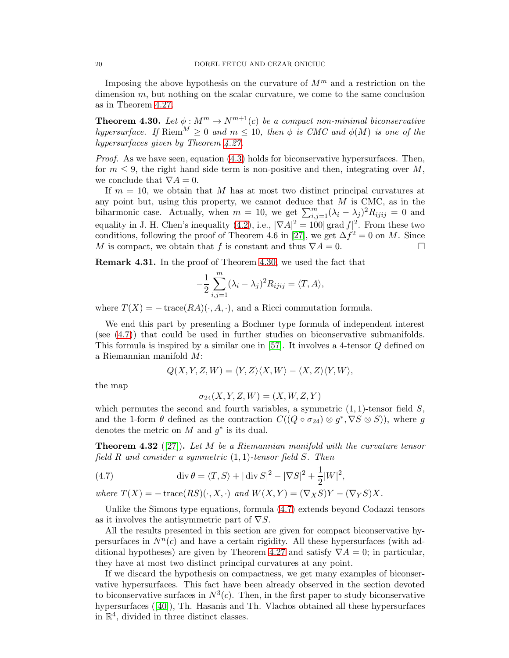Imposing the above hypothesis on the curvature of  $M^m$  and a restriction on the dimension m, but nothing on the scalar curvature, we come to the same conclusion as in Theorem [4.27.](#page-18-0)

<span id="page-19-0"></span>**Theorem 4.30.** Let  $\phi : M^m \to N^{m+1}(c)$  be a compact non-minimal biconservative hypersurface. If  $\text{Riem}^M \geq 0$  and  $m \leq 10$ , then  $\phi$  is CMC and  $\phi(M)$  is one of the hypersurfaces given by Theorem [4.27.](#page-18-0)

*Proof.* As we have seen, equation  $(4.3)$  holds for biconservative hypersurfaces. Then, for  $m \leq 9$ , the right hand side term is non-positive and then, integrating over M, we conclude that  $\nabla A = 0$ .

If  $m = 10$ , we obtain that M has at most two distinct principal curvatures at any point but, using this property, we cannot deduce that  $M$  is CMC, as in the biharmonic case. Actually, when  $m = 10$ , we get  $\sum_{i,j=1}^{m} (\lambda_i - \lambda_j)^2 R_{ijij} = 0$  and equality in J. H. Chen's inequality  $(4.2)$ , i.e.,  $|\nabla A|^2 = 100 |\text{grad } f|^2$ . From these two conditions, following the proof of Theorem 4.6 in [\[27\]](#page-21-26), we get  $\Delta f^2 = 0$  on M. Since M is compact, we obtain that f is constant and thus  $\nabla A = 0$ .

Remark 4.31. In the proof of Theorem [4.30,](#page-19-0) we used the fact that

$$
-\frac{1}{2}\sum_{i,j=1}^m (\lambda_i - \lambda_j)^2 R_{ijij} = \langle T, A \rangle,
$$

where  $T(X) = -\operatorname{trace}(RA)(\cdot, A, \cdot)$ , and a Ricci commutation formula.

We end this part by presenting a Bochner type formula of independent interest (see [\(4.7\)](#page-19-1)) that could be used in further studies on biconservative submanifolds. This formula is inspired by a similar one in [\[57\]](#page-22-29). It involves a 4-tensor Q defined on a Riemannian manifold M:

$$
Q(X, Y, Z, W) = \langle Y, Z \rangle \langle X, W \rangle - \langle X, Z \rangle \langle Y, W \rangle,
$$

the map

$$
\sigma_{24}(X,Y,Z,W) = (X,W,Z,Y)
$$

which permutes the second and fourth variables, a symmetric  $(1, 1)$ -tensor field  $S$ , and the 1-form  $\theta$  defined as the contraction  $C((Q \circ \sigma_{24}) \otimes g^*, \nabla S \otimes S)$ , where g denotes the metric on  $M$  and  $g^*$  is its dual.

**Theorem 4.32** ([\[27\]](#page-21-26)). Let M be a Riemannian manifold with the curvature tensor field  $R$  and consider a symmetric  $(1, 1)$ -tensor field  $S$ . Then

<span id="page-19-1"></span>(4.7) 
$$
\operatorname{div} \theta = \langle T, S \rangle + |\operatorname{div} S|^2 - |\nabla S|^2 + \frac{1}{2} |W|^2,
$$

where  $T(X) = -\operatorname{trace}(RS)(\cdot, X, \cdot)$  and  $W(X, Y) = (\nabla_X S)Y - (\nabla_Y S)X$ .

Unlike the Simons type equations, formula [\(4.7\)](#page-19-1) extends beyond Codazzi tensors as it involves the antisymmetric part of  $\nabla S$ .

All the results presented in this section are given for compact biconservative hypersurfaces in  $N<sup>n</sup>(c)$  and have a certain rigidity. All these hypersurfaces (with ad-ditional hypotheses) are given by Theorem [4.27](#page-18-0) and satisfy  $\nabla A = 0$ ; in particular, they have at most two distinct principal curvatures at any point.

If we discard the hypothesis on compactness, we get many examples of biconservative hypersurfaces. This fact have been already observed in the section devoted to biconservative surfaces in  $N^3(c)$ . Then, in the first paper to study biconservative hypersurfaces ([\[40\]](#page-21-14)), Th. Hasanis and Th. Vlachos obtained all these hypersurfaces in  $\mathbb{R}^4$ , divided in three distinct classes.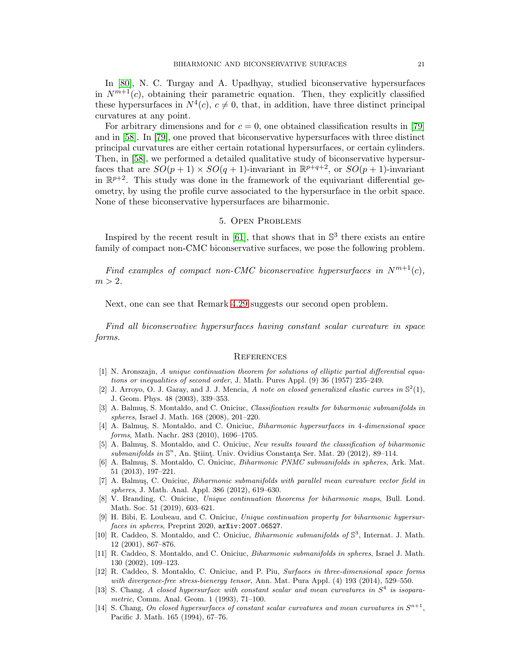In [\[80\]](#page-23-3), N. C. Turgay and A. Upadhyay, studied biconservative hypersurfaces in  $N^{m+1}(c)$ , obtaining their parametric equation. Then, they explicitly classified these hypersurfaces in  $N^4(c)$ ,  $c \neq 0$ , that, in addition, have three distinct principal curvatures at any point.

For arbitrary dimensions and for  $c = 0$ , one obtained classification results in [\[79\]](#page-23-4) and in [\[58\]](#page-22-30). In [\[79\]](#page-23-4), one proved that biconservative hypersurfaces with three distinct principal curvatures are either certain rotational hypersurfaces, or certain cylinders. Then, in [\[58\]](#page-22-30), we performed a detailed qualitative study of biconservative hypersurfaces that are  $SO(p+1) \times SO(q+1)$ -invariant in  $\mathbb{R}^{p+q+2}$ , or  $SO(p+1)$ -invariant in  $\mathbb{R}^{p+2}$ . This study was done in the framework of the equivariant differential geometry, by using the profile curve associated to the hypersurface in the orbit space. None of these biconservative hypersurfaces are biharmonic.

### 5. Open Problems

Inspired by the recent result in  $[61]$ , that shows that in  $\mathbb{S}^3$  there exists an entire family of compact non-CMC biconservative surfaces, we pose the following problem.

Find examples of compact non-CMC biconservative hypersurfaces in  $N^{m+1}(c)$ ,  $m > 2$ .

Next, one can see that Remark [4.29](#page-18-4) suggests our second open problem.

Find all biconservative hypersurfaces having constant scalar curvature in space forms.

#### **REFERENCES**

- <span id="page-20-2"></span>[1] N. Aronszajn, A unique continuation theorem for solutions of elliptic partial differential equations or inequalities of second order, J. Math. Pures Appl. (9) 36 (1957) 235–249.
- <span id="page-20-8"></span>[2] J. Arroyo, O. J. Garay, and J. J. Mencia, A note on closed generalized elastic curves in  $\mathbb{S}^2(1)$ , J. Geom. Phys. 48 (2003), 339–353.
- <span id="page-20-3"></span>[3] A. Balmuş, S. Montaldo, and C. Oniciuc, Classification results for biharmonic submanifolds in spheres, Israel J. Math. 168 (2008), 201–220.
- <span id="page-20-9"></span>[4] A. Balmuş, S. Montaldo, and C. Oniciuc, *Biharmonic hypersurfaces in 4-dimensional space* forms, Math. Nachr. 283 (2010), 1696–1705.
- <span id="page-20-12"></span>[5] A. Balmuş, S. Montaldo, and C. Oniciuc, New results toward the classification of biharmonic  $submanifolds in \mathbb{S}^n$ , An. Științ. Univ. Ovidius Constanța Ser. Mat. 20 (2012), 89-114.
- <span id="page-20-4"></span>[6] A. Balmuş, S. Montaldo, C. Oniciuc, Biharmonic PNMC submanifolds in spheres, Ark. Mat. 51 (2013), 197–221.
- <span id="page-20-5"></span>[7] A. Balmuş, C. Oniciuc, Biharmonic submanifolds with parallel mean curvature vector field in spheres, J. Math. Anal. Appl. 386 (2012), 619–630.
- <span id="page-20-0"></span>[8] V. Branding, C. Oniciuc, Unique continuation theorems for biharmonic maps, Bull. Lond. Math. Soc. 51 (2019), 603–621.
- <span id="page-20-13"></span>[9] H. Bibi, E. Loubeau, and C. Oniciuc, Unique continuation property for biharmonic hypersurfaces in spheres, Preprint 2020, arXiv:2007.06527.
- <span id="page-20-6"></span>[10] R. Caddeo, S. Montaldo, and C. Oniciuc, *Biharmonic submanifolds of*  $\mathbb{S}^3$ , Internat. J. Math. 12 (2001), 867–876.
- <span id="page-20-1"></span>[11] R. Caddeo, S. Montaldo, and C. Oniciuc, Biharmonic submanifolds in spheres, Israel J. Math. 130 (2002), 109–123.
- <span id="page-20-7"></span>[12] R. Caddeo, S. Montaldo, C. Oniciuc, and P. Piu, Surfaces in three-dimensional space forms with divergence-free stress-bienergy tensor, Ann. Mat. Pura Appl. (4) 193 (2014), 529–550.
- <span id="page-20-10"></span>[13] S. Chang, A closed hypersurface with constant scalar and mean curvatures in  $S<sup>4</sup>$  is isoparametric, Comm. Anal. Geom. 1 (1993), 71–100.
- <span id="page-20-11"></span>[14] S. Chang, On closed hypersurfaces of constant scalar curvatures and mean curvatures in  $S^{n+1}$ , Pacific J. Math. 165 (1994), 67–76.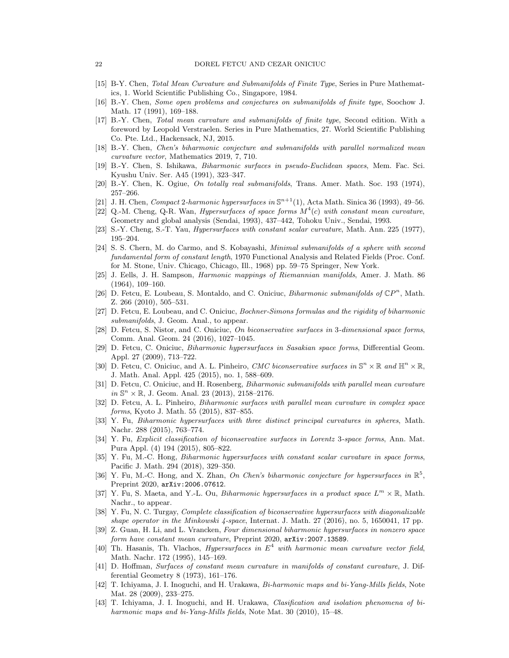- <span id="page-21-11"></span><span id="page-21-1"></span>[15] B-Y. Chen, Total Mean Curvature and Submanifolds of Finite Type, Series in Pure Mathematics, 1. World Scientific Publishing Co., Singapore, 1984.
- <span id="page-21-12"></span>[16] B.-Y. Chen, Some open problems and conjectures on submanifolds of finite type, Soochow J. Math. 17 (1991), 169–188.
- [17] B.-Y. Chen, Total mean curvature and submanifolds of finite type, Second edition. With a foreword by Leopold Verstraelen. Series in Pure Mathematics, 27. World Scientific Publishing Co. Pte. Ltd., Hackensack, NJ, 2015.
- <span id="page-21-15"></span><span id="page-21-2"></span>[18] B.-Y. Chen, Chen's biharmonic conjecture and submanifolds with parallel normalized mean curvature vector, Mathematics 2019, 7, 710.
- <span id="page-21-10"></span>[19] B.-Y. Chen, S. Ishikawa, Biharmonic surfaces in pseudo-Euclidean spaces, Mem. Fac. Sci. Kyushu Univ. Ser. A45 (1991), 323–347.
- <span id="page-21-7"></span>[20] B.-Y. Chen, K. Ogiue, On totally real submanifolds, Trans. Amer. Math. Soc. 193 (1974), 257–266.
- <span id="page-21-24"></span>[21] J. H. Chen, Compact 2-harmonic hypersurfaces in  $\mathbb{S}^{n+1}(1)$ , Acta Math. Sinica 36 (1993), 49–56.
- [22] Q.-M. Cheng, Q-R. Wan, *Hypersurfaces of space forms*  $M<sup>4</sup>(c)$  with constant mean curvature, Geometry and global analysis (Sendai, 1993), 437–442, Tohoku Univ., Sendai, 1993.
- <span id="page-21-27"></span><span id="page-21-18"></span>[23] S.-Y. Cheng, S.-T. Yau, Hypersurfaces with constant scalar curvature, Math. Ann. 225 (1977), 195–204.
- [24] S. S. Chern, M. do Carmo, and S. Kobayashi, Minimal submanifolds of a sphere with second fundamental form of constant length, 1970 Functional Analysis and Related Fields (Proc. Conf. for M. Stone, Univ. Chicago, Chicago, Ill., 1968) pp. 59–75 Springer, New York.
- <span id="page-21-0"></span>[25] J. Eells, J. H. Sampson, Harmonic mappings of Riemannian manifolds, Amer. J. Math. 86 (1964), 109–160.
- <span id="page-21-13"></span>[26] D. Fetcu, E. Loubeau, S. Montaldo, and C. Oniciuc, *Biharmonic submanifolds of*  $\mathbb{C}P^n$ , Math. Z. 266 (2010), 505–531.
- <span id="page-21-26"></span>[27] D. Fetcu, E. Loubeau, and C. Oniciuc, Bochner-Simons formulas and the rigidity of biharmonic submanifolds, J. Geom. Anal., to appear.
- <span id="page-21-17"></span>[28] D. Fetcu, S. Nistor, and C. Oniciuc, On biconservative surfaces in 3-dimensional space forms, Comm. Anal. Geom. 24 (2016), 1027–1045.
- <span id="page-21-8"></span>[29] D. Fetcu, C. Oniciuc, Biharmonic hypersurfaces in Sasakian space forms, Differential Geom. Appl. 27 (2009), 713–722.
- <span id="page-21-3"></span>[30] D. Fetcu, C. Oniciuc, and A. L. Pinheiro, CMC biconservative surfaces in  $\mathbb{S}^n \times \mathbb{R}$  and  $\mathbb{H}^n \times \mathbb{R}$ , J. Math. Anal. Appl. 425 (2015), no. 1, 588–609.
- [31] D. Fetcu, C. Oniciuc, and H. Rosenberg, *Biharmonic submanifolds with parallel mean curvature*  $in S<sup>n</sup> \times \mathbb{R}$ , J. Geom. Anal. 23 (2013), 2158-2176.
- <span id="page-21-4"></span>[32] D. Fetcu, A. L. Pinheiro, Biharmonic surfaces with parallel mean curvature in complex space forms, Kyoto J. Math. 55 (2015), 837–855.
- <span id="page-21-23"></span>[33] Y. Fu, Biharmonic hypersurfaces with three distinct principal curvatures in spheres, Math. Nachr. 288 (2015), 763–774.
- <span id="page-21-16"></span>[34] Y. Fu, Explicit classification of biconservative surfaces in Lorentz 3-space forms, Ann. Mat. Pura Appl. (4) 194 (2015), 805–822.
- <span id="page-21-25"></span>[35] Y. Fu, M.-C. Hong, Biharmonic hypersurfaces with constant scalar curvature in space forms, Pacific J. Math. 294 (2018), 329–350.
- <span id="page-21-20"></span>[36] Y. Fu, M.-C. Hong, and X. Zhan, On Chen's biharmonic conjecture for hypersurfaces in  $\mathbb{R}^5$ , Preprint 2020, arXiv:2006.07612.
- <span id="page-21-5"></span>[37] Y. Fu, S. Maeta, and Y.-L. Ou, *Biharmonic hypersurfaces in a product space*  $L^m \times \mathbb{R}$ , Math. Nachr., to appear.
- <span id="page-21-6"></span>[38] Y. Fu, N. C. Turgay, Complete classification of biconservative hypersurfaces with diagonalizable shape operator in the Minkowski 4-space, Internat. J. Math. 27 (2016), no. 5, 1650041, 17 pp.
- <span id="page-21-19"></span>[39] Z. Guan, H. Li, and L. Vrancken, Four dimensional biharmonic hypersurfaces in nonzero space form have constant mean curvature, Preprint 2020, arXiv:2007.13589.
- <span id="page-21-14"></span>[40] Th. Hasanis, Th. Vlachos, *Hypersurfaces in*  $E^4$  with harmonic mean curvature vector field, Math. Nachr. 172 (1995), 145–169.
- <span id="page-21-9"></span>[41] D. Hoffman, Surfaces of constant mean curvature in manifolds of constant curvature, J. Differential Geometry 8 (1973), 161–176.
- <span id="page-21-21"></span>[42] T. Ichiyama, J. I. Inoguchi, and H. Urakawa, Bi-harmonic maps and bi-Yang-Mills fields, Note Mat. 28 (2009), 233–275.
- <span id="page-21-22"></span>[43] T. Ichiyama, J. I. Inoguchi, and H. Urakawa, Clasification and isolation phenomena of biharmonic maps and bi-Yang-Mills fields, Note Mat. 30 (2010), 15–48.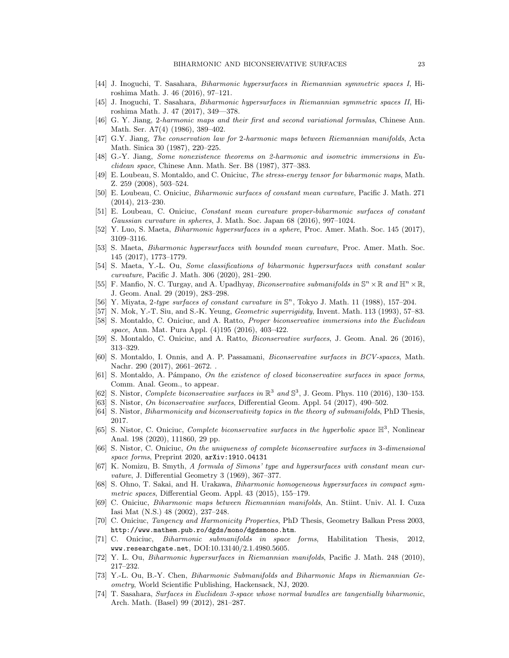- <span id="page-22-2"></span><span id="page-22-1"></span>[44] J. Inoguchi, T. Sasahara, Biharmonic hypersurfaces in Riemannian symmetric spaces I, Hiroshima Math. J. 46 (2016), 97–121.
- <span id="page-22-0"></span>[45] J. Inoguchi, T. Sasahara, Biharmonic hypersurfaces in Riemannian symmetric spaces II, Hiroshima Math. J. 47 (2017), 349—378.
- <span id="page-22-8"></span>[46] G. Y. Jiang, 2-harmonic maps and their first and second variational formulas, Chinese Ann. Math. Ser. A7(4) (1986), 389–402.
- [47] G.Y. Jiang, The conservation law for 2-harmonic maps between Riemannian manifolds, Acta Math. Sinica 30 (1987), 220–225.
- <span id="page-22-18"></span><span id="page-22-7"></span>[48] G.-Y. Jiang, Some nonexistence theorems on 2-harmonic and isometric immersions in Euclidean space, Chinese Ann. Math. Ser. B8 (1987), 377–383.
- <span id="page-22-15"></span>[49] E. Loubeau, S. Montaldo, and C. Oniciuc, The stress-energy tensor for biharmonic maps, Math. Z. 259 (2008), 503–524.
- [50] E. Loubeau, C. Oniciuc, Biharmonic surfaces of constant mean curvature, Pacific J. Math. 271 (2014), 213–230.
- <span id="page-22-28"></span><span id="page-22-11"></span>[51] E. Loubeau, C. Oniciuc, Constant mean curvature proper-biharmonic surfaces of constant Gaussian curvature in spheres, J. Math. Soc. Japan 68 (2016), 997–1024.
- <span id="page-22-27"></span>[52] Y. Luo, S. Maeta, Biharmonic hypersurfaces in a sphere, Proc. Amer. Math. Soc. 145 (2017), 3109–3116.
- [53] S. Maeta, Biharmonic hypersurfaces with bounded mean curvature, Proc. Amer. Math. Soc. 145 (2017), 1773–1779.
- <span id="page-22-25"></span>[54] S. Maeta, Y.-L. Ou, Some classifications of biharmonic hypersurfaces with constant scalar curvature, Pacific J. Math. 306 (2020), 281–290.
- <span id="page-22-3"></span>[55] F. Manfio, N. C. Turgay, and A. Upadhyay, *Biconservative submanifolds in*  $\mathbb{S}^n \times \mathbb{R}$  and  $\mathbb{H}^n \times \mathbb{R}$ , J. Geom. Anal. 29 (2019), 283–298.
- <span id="page-22-29"></span><span id="page-22-12"></span>[56] Y. Miyata, 2-type surfaces of constant curvature in  $\mathbb{S}^n$ , Tokyo J. Math. 11 (1988), 157-204.
- <span id="page-22-30"></span>[57] N. Mok, Y.-T. Siu, and S.-K. Yeung, Geometric superrigidity, Invent. Math. 113 (1993), 57–83.
- [58] S. Montaldo, C. Oniciuc, and A. Ratto, *Proper biconservative immersions into the Euclidean* space, Ann. Mat. Pura Appl. (4)195 (2016), 403–422.
- <span id="page-22-13"></span><span id="page-22-4"></span>[59] S. Montaldo, C. Oniciuc, and A. Ratto, Biconservative surfaces, J. Geom. Anal. 26 (2016), 313–329.
- [60] S. Montaldo, I. Onnis, and A. P. Passamani, Biconservative surfaces in BCV-spaces, Math. Nachr. 290 (2017), 2661–2672. .
- <span id="page-22-20"></span>[61] S. Montaldo, A. Pámpano, On the existence of closed biconservative surfaces in space forms, Comm. Anal. Geom., to appear.
- <span id="page-22-21"></span><span id="page-22-14"></span>[62] S. Nistor, Complete biconservative surfaces in  $\mathbb{R}^3$  and  $\mathbb{S}^3$ , J. Geom. Phys. 110 (2016), 130–153.
- <span id="page-22-17"></span>[63] S. Nistor, On biconservative surfaces, Differential Geom. Appl. 54 (2017), 490–502.
- <span id="page-22-19"></span>[64] S. Nistor, Biharmonicity and biconservativity topics in the theory of submanifolds, PhD Thesis, 2017.
- [65] S. Nistor, C. Oniciuc, Complete biconservative surfaces in the hyperbolic space  $\mathbb{H}^3$ , Nonlinear Anal. 198 (2020), 111860, 29 pp.
- <span id="page-22-22"></span>[66] S. Nistor, C. Oniciuc, On the uniqueness of complete biconservative surfaces in 3-dimensional space forms, Preprint 2020, arXiv:1910.04131
- <span id="page-22-26"></span>[67] K. Nomizu, B. Smyth, A formula of Simons' type and hypersurfaces with constant mean curvature, J. Differential Geometry 3 (1969), 367–377.
- <span id="page-22-5"></span>[68] S. Ohno, T. Sakai, and H. Urakawa, Biharmonic homogeneous hypersurfaces in compact symmetric spaces, Differential Geom. Appl. 43 (2015), 155–179.
- <span id="page-22-9"></span>[69] C. Oniciuc, Biharmonic maps between Riemannian manifolds, An. Stiint. Univ. Al. I. Cuza Iasi Mat (N.S.) 48 (2002), 237–248.
- <span id="page-22-10"></span>[70] C. Oniciuc, Tangency and Harmonicity Properties, PhD Thesis, Geometry Balkan Press 2003, http://www.mathem.pub.ro/dgds/mono/dgdsmono.htm.
- <span id="page-22-23"></span>[71] C. Oniciuc, Biharmonic submanifolds in space forms, Habilitation Thesis, 2012, www.researchgate.net, DOI:10.13140/2.1.4980.5605.
- <span id="page-22-24"></span><span id="page-22-16"></span>[72] Y. L. Ou, Biharmonic hypersurfaces in Riemannian manifolds, Pacific J. Math. 248 (2010), 217–232.
- [73] Y.-L. Ou, B.-Y. Chen, Biharmonic Submanifolds and Biharmonic Maps in Riemannian Geometry, World Scientific Publishing, Hackensack, NJ, 2020.
- <span id="page-22-6"></span>[74] T. Sasahara, Surfaces in Euclidean 3-space whose normal bundles are tangentially biharmonic, Arch. Math. (Basel) 99 (2012), 281–287.